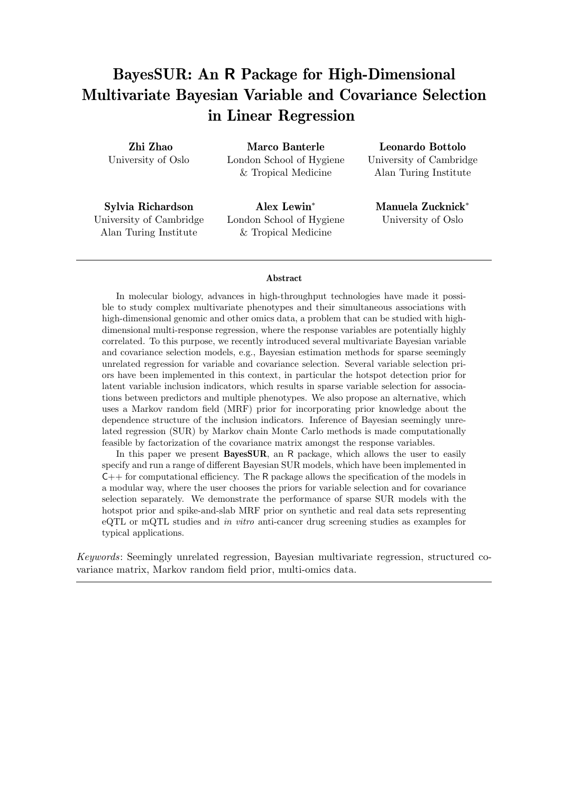# BayesSUR: An R Package for High-Dimensional Multivariate Bayesian Variable and Covariance Selection in Linear Regression

Zhi Zhao University of Oslo

Marco Banterle London School of Hygiene & Tropical Medicine

Sylvia Richardson University of Cambridge Alan Turing Institute

Alex Lewin<sup>∗</sup> London School of Hygiene & Tropical Medicine

Leonardo Bottolo University of Cambridge Alan Turing Institute

Manuela Zucknick<sup>∗</sup> University of Oslo

### Abstract

In molecular biology, advances in high-throughput technologies have made it possible to study complex multivariate phenotypes and their simultaneous associations with high-dimensional genomic and other omics data, a problem that can be studied with highdimensional multi-response regression, where the response variables are potentially highly correlated. To this purpose, we recently introduced several multivariate Bayesian variable and covariance selection models, e.g., Bayesian estimation methods for sparse seemingly unrelated regression for variable and covariance selection. Several variable selection priors have been implemented in this context, in particular the hotspot detection prior for latent variable inclusion indicators, which results in sparse variable selection for associations between predictors and multiple phenotypes. We also propose an alternative, which uses a Markov random field (MRF) prior for incorporating prior knowledge about the dependence structure of the inclusion indicators. Inference of Bayesian seemingly unrelated regression (SUR) by Markov chain Monte Carlo methods is made computationally feasible by factorization of the covariance matrix amongst the response variables.

In this paper we present BayesSUR, an R package, which allows the user to easily specify and run a range of different Bayesian SUR models, which have been implemented in  $C++$  for computational efficiency. The R package allows the specification of the models in a modular way, where the user chooses the priors for variable selection and for covariance selection separately. We demonstrate the performance of sparse SUR models with the hotspot prior and spike-and-slab MRF prior on synthetic and real data sets representing eQTL or mQTL studies and *in vitro* anti-cancer drug screening studies as examples for typical applications.

*Keywords*: Seemingly unrelated regression, Bayesian multivariate regression, structured covariance matrix, Markov random field prior, multi-omics data.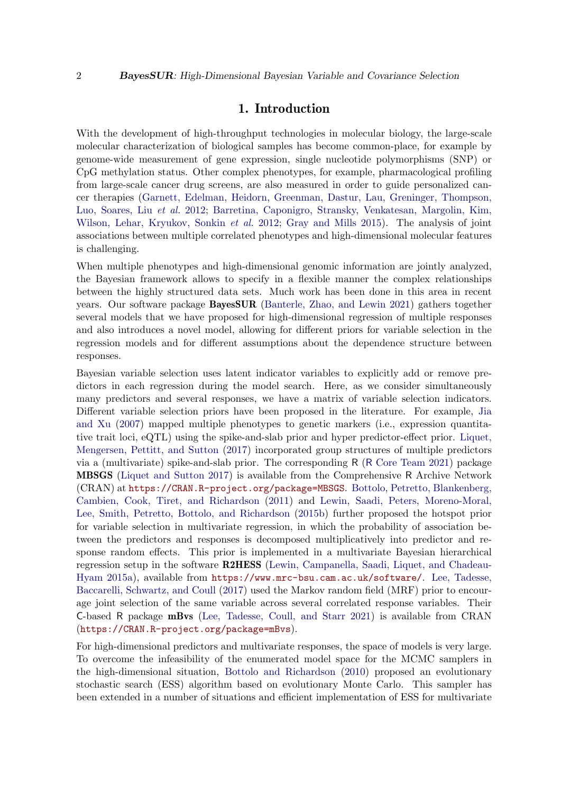# 1. Introduction

With the development of high-throughput technologies in molecular biology, the large-scale molecular characterization of biological samples has become common-place, for example by genome-wide measurement of gene expression, single nucleotide polymorphisms (SNP) or CpG methylation status. Other complex phenotypes, for example, pharmacological profiling from large-scale cancer drug screens, are also measured in order to guide personalized cancer therapies [\(Garnett, Edelman, Heidorn, Greenman, Dastur, Lau, Greninger, Thompson,](#page-25-0) [Luo, Soares, Liu](#page-25-0) *et al.* [2012;](#page-25-0) [Barretina, Caponigro, Stransky, Venkatesan, Margolin, Kim,](#page-25-1) [Wilson, Lehar, Kryukov, Sonkin](#page-25-1) *et al.* [2012;](#page-25-1) [Gray and Mills 2015\)](#page-26-0). The analysis of joint associations between multiple correlated phenotypes and high-dimensional molecular features is challenging.

When multiple phenotypes and high-dimensional genomic information are jointly analyzed, the Bayesian framework allows to specify in a flexible manner the complex relationships between the highly structured data sets. Much work has been done in this area in recent years. Our software package BayesSUR [\(Banterle, Zhao, and Lewin 2021\)](#page-25-2) gathers together several models that we have proposed for high-dimensional regression of multiple responses and also introduces a novel model, allowing for different priors for variable selection in the regression models and for different assumptions about the dependence structure between responses.

Bayesian variable selection uses latent indicator variables to explicitly add or remove predictors in each regression during the model search. Here, as we consider simultaneously many predictors and several responses, we have a matrix of variable selection indicators. Different variable selection priors have been proposed in the literature. For example, [Jia](#page-26-1) [and Xu](#page-26-1) [\(2007\)](#page-26-1) mapped multiple phenotypes to genetic markers (i.e., expression quantitative trait loci, eQTL) using the spike-and-slab prior and hyper predictor-effect prior. [Liquet,](#page-26-2) [Mengersen, Pettitt, and Sutton](#page-26-2) [\(2017\)](#page-26-2) incorporated group structures of multiple predictors via a (multivariate) spike-and-slab prior. The corresponding R (R [Core Team 2021\)](#page-27-0) package MBSGS [\(Liquet and Sutton 2017\)](#page-26-3) is available from the Comprehensive R Archive Network (CRAN) at <https://CRAN.R-project.org/package=MBSGS>. [Bottolo, Petretto, Blankenberg,](#page-25-3) [Cambien, Cook, Tiret, and Richardson](#page-25-3) [\(2011\)](#page-25-3) and [Lewin, Saadi, Peters, Moreno-Moral,](#page-26-4) [Lee, Smith, Petretto, Bottolo, and Richardson](#page-26-4) [\(2015b\)](#page-26-4) further proposed the hotspot prior for variable selection in multivariate regression, in which the probability of association between the predictors and responses is decomposed multiplicatively into predictor and response random effects. This prior is implemented in a multivariate Bayesian hierarchical regression setup in the software R2HESS [\(Lewin, Campanella, Saadi, Liquet, and Chadeau-](#page-26-5)[Hyam 2015a\)](#page-26-5), available from <https://www.mrc-bsu.cam.ac.uk/software/>. [Lee, Tadesse,](#page-26-6) [Baccarelli, Schwartz, and Coull](#page-26-6) [\(2017\)](#page-26-6) used the Markov random field (MRF) prior to encourage joint selection of the same variable across several correlated response variables. Their C-based R package mBvs [\(Lee, Tadesse, Coull, and Starr 2021\)](#page-26-7) is available from CRAN (<https://CRAN.R-project.org/package=mBvs>).

For high-dimensional predictors and multivariate responses, the space of models is very large. To overcome the infeasibility of the enumerated model space for the MCMC samplers in the high-dimensional situation, [Bottolo and Richardson](#page-25-4) [\(2010\)](#page-25-4) proposed an evolutionary stochastic search (ESS) algorithm based on evolutionary Monte Carlo. This sampler has been extended in a number of situations and efficient implementation of ESS for multivariate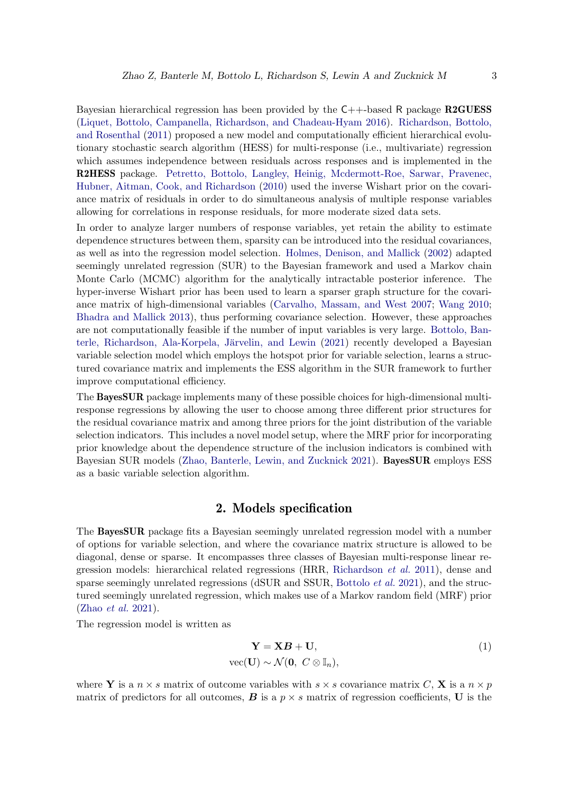Bayesian hierarchical regression has been provided by the  $C++$ -based R package R2GUESS [\(Liquet, Bottolo, Campanella, Richardson, and Chadeau-Hyam 2016\)](#page-26-8). [Richardson, Bottolo,](#page-27-1) [and Rosenthal](#page-27-1) [\(2011\)](#page-27-1) proposed a new model and computationally efficient hierarchical evolutionary stochastic search algorithm (HESS) for multi-response (i.e., multivariate) regression which assumes independence between residuals across responses and is implemented in the R2HESS package. [Petretto, Bottolo, Langley, Heinig, Mcdermott-Roe, Sarwar, Pravenec,](#page-27-2) [Hubner, Aitman, Cook, and Richardson](#page-27-2) [\(2010\)](#page-27-2) used the inverse Wishart prior on the covariance matrix of residuals in order to do simultaneous analysis of multiple response variables allowing for correlations in response residuals, for more moderate sized data sets.

In order to analyze larger numbers of response variables, yet retain the ability to estimate dependence structures between them, sparsity can be introduced into the residual covariances, as well as into the regression model selection. [Holmes, Denison, and Mallick](#page-26-9) [\(2002\)](#page-26-9) adapted seemingly unrelated regression (SUR) to the Bayesian framework and used a Markov chain Monte Carlo (MCMC) algorithm for the analytically intractable posterior inference. The hyper-inverse Wishart prior has been used to learn a sparser graph structure for the covariance matrix of high-dimensional variables [\(Carvalho, Massam, and West 2007;](#page-25-5) [Wang 2010;](#page-27-3) [Bhadra and Mallick 2013\)](#page-25-6), thus performing covariance selection. However, these approaches are not computationally feasible if the number of input variables is very large. [Bottolo, Ban-](#page-25-7)terle, Richardson, Ala-Korpela, Järvelin, and Lewin [\(2021\)](#page-25-7) recently developed a Bayesian variable selection model which employs the hotspot prior for variable selection, learns a structured covariance matrix and implements the ESS algorithm in the SUR framework to further improve computational efficiency.

The BayesSUR package implements many of these possible choices for high-dimensional multiresponse regressions by allowing the user to choose among three different prior structures for the residual covariance matrix and among three priors for the joint distribution of the variable selection indicators. This includes a novel model setup, where the MRF prior for incorporating prior knowledge about the dependence structure of the inclusion indicators is combined with Bayesian SUR models [\(Zhao, Banterle, Lewin, and Zucknick 2021\)](#page-27-4). BayesSUR employs ESS as a basic variable selection algorithm.

## 2. Models specification

<span id="page-2-0"></span>The BayesSUR package fits a Bayesian seemingly unrelated regression model with a number of options for variable selection, and where the covariance matrix structure is allowed to be diagonal, dense or sparse. It encompasses three classes of Bayesian multi-response linear regression models: hierarchical related regressions (HRR, [Richardson](#page-27-1) *et al.* [2011\)](#page-27-1), dense and sparse seemingly unrelated regressions (dSUR and SSUR, [Bottolo](#page-25-7) *et al.* [2021\)](#page-25-7), and the structured seemingly unrelated regression, which makes use of a Markov random field (MRF) prior [\(Zhao](#page-27-4) *et al.* [2021\)](#page-27-4).

The regression model is written as

$$
\mathbf{Y} = \mathbf{X}\mathbf{B} + \mathbf{U},
$$
  
vec(**U**) ~  $\mathcal{N}(\mathbf{0}, C \otimes \mathbb{I}_n),$  (1)

where Y is a  $n \times s$  matrix of outcome variables with  $s \times s$  covariance matrix C, X is a  $n \times p$ matrix of predictors for all outcomes,  $\bm{B}$  is a  $p \times s$  matrix of regression coefficients, U is the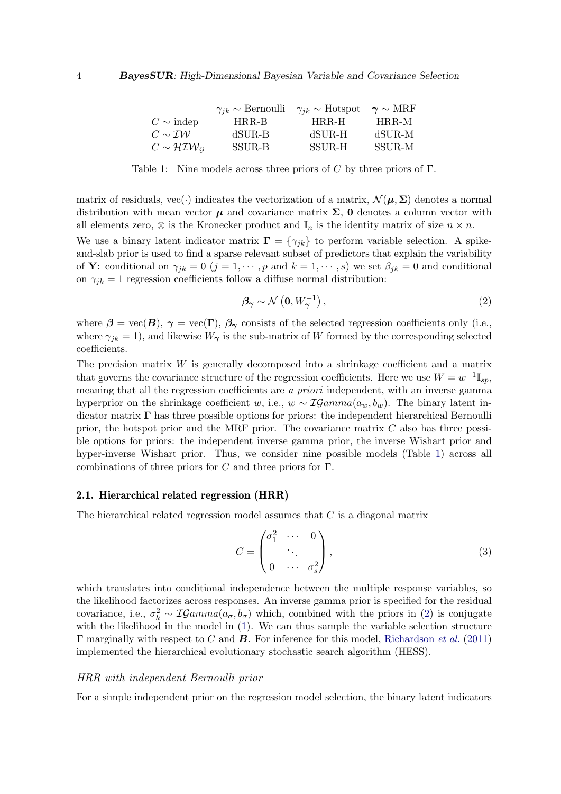|                                      | $\gamma_{ik} \sim \text{Bernoulli}$ | $\gamma_{ik} \sim$ Hotspot | $\gamma \sim \text{MRF}$ |
|--------------------------------------|-------------------------------------|----------------------------|--------------------------|
| $C \sim \text{indep}$                | HRR-B                               | HRR-H                      | HRR-M                    |
| $C \sim \mathcal{IW}$                | dSUR-B                              | $dSUR-H$                   | dSUR-M                   |
| $C \sim H \mathcal{I} \mathcal{W}_G$ | <b>SSUR-B</b>                       | SSUR-H                     | <b>SSUR-M</b>            |

<span id="page-3-0"></span>Table 1: Nine models across three priors of C by three priors of  $\Gamma$ .

matrix of residuals, vec(·) indicates the vectorization of a matrix,  $\mathcal{N}(\mu, \Sigma)$  denotes a normal distribution with mean vector  $\mu$  and covariance matrix  $\Sigma$ , 0 denotes a column vector with all elements zero,  $\otimes$  is the Kronecker product and  $\mathbb{I}_n$  is the identity matrix of size  $n \times n$ .

We use a binary latent indicator matrix  $\mathbf{\Gamma} = {\gamma_{jk}}$  to perform variable selection. A spikeand-slab prior is used to find a sparse relevant subset of predictors that explain the variability of **Y**: conditional on  $\gamma_{jk} = 0$   $(j = 1, \dots, p$  and  $k = 1, \dots, s$ ) we set  $\beta_{jk} = 0$  and conditional on  $\gamma_{ik} = 1$  regression coefficients follow a diffuse normal distribution:

$$
\beta_{\gamma} \sim \mathcal{N}\left(0, W_{\gamma}^{-1}\right),\tag{2}
$$

where  $\beta = \text{vec}(\mathbf{B}), \gamma = \text{vec}(\mathbf{\Gamma}), \beta_{\gamma}$  consists of the selected regression coefficients only (i.e., where  $\gamma_{jk} = 1$ , and likewise  $W_{\gamma}$  is the sub-matrix of W formed by the corresponding selected coefficients.

The precision matrix  $W$  is generally decomposed into a shrinkage coefficient and a matrix that governs the covariance structure of the regression coefficients. Here we use  $W = w^{-1} \mathbb{I}_{sp}$ , meaning that all the regression coefficients are *a priori* independent, with an inverse gamma hyperprior on the shrinkage coefficient w, i.e.,  $w \sim \mathcal{IGamma}(a_w, b_w)$ . The binary latent indicator matrix  $\Gamma$  has three possible options for priors: the independent hierarchical Bernoulli prior, the hotspot prior and the MRF prior. The covariance matrix  $C$  also has three possible options for priors: the independent inverse gamma prior, the inverse Wishart prior and hyper-inverse Wishart prior. Thus, we consider nine possible models (Table [1\)](#page-3-0) across all combinations of three priors for C and three priors for  $\Gamma$ .

### <span id="page-3-2"></span>2.1. Hierarchical related regression (HRR)

The hierarchical related regression model assumes that  $C$  is a diagonal matrix

$$
C = \begin{pmatrix} \sigma_1^2 & \cdots & 0 \\ & \ddots & \\ 0 & \cdots & \sigma_s^2 \end{pmatrix},
$$
 (3)

which translates into conditional independence between the multiple response variables, so the likelihood factorizes across responses. An inverse gamma prior is specified for the residual covariance, i.e.,  $\sigma_k^2 \sim \mathcal{IGamma}(a_{\sigma}, b_{\sigma})$  which, combined with the priors in [\(2\)](#page-2-0) is conjugate with the likelihood in the model in [\(1\)](#page-2-0). We can thus sample the variable selection structure Γ marginally with respect to C and B. For inference for this model, [Richardson](#page-27-1) *et al.* [\(2011\)](#page-27-1) implemented the hierarchical evolutionary stochastic search algorithm (HESS).

### <span id="page-3-1"></span>HRR with independent Bernoulli prior

For a simple independent prior on the regression model selection, the binary latent indicators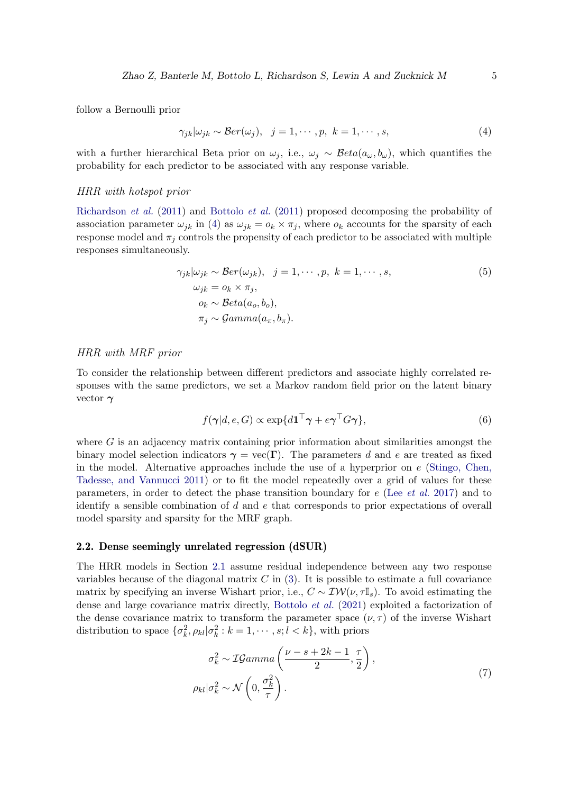follow a Bernoulli prior

$$
\gamma_{jk}|\omega_{jk} \sim \mathcal{B}er(\omega_j), \quad j = 1, \cdots, p, \ k = 1, \cdots, s,
$$
\n<sup>(4)</sup>

with a further hierarchical Beta prior on  $\omega_j$ , i.e.,  $\omega_j \sim \text{Beta}(a_{\omega}, b_{\omega})$ , which quantifies the probability for each predictor to be associated with any response variable.

### <span id="page-4-0"></span>HRR with hotspot prior

[Richardson](#page-27-1) *et al.* [\(2011\)](#page-27-1) and [Bottolo](#page-25-3) *et al.* [\(2011\)](#page-25-3) proposed decomposing the probability of association parameter  $\omega_{jk}$  in [\(4\)](#page-3-1) as  $\omega_{jk} = o_k \times \pi_j$ , where  $o_k$  accounts for the sparsity of each response model and  $\pi_i$  controls the propensity of each predictor to be associated with multiple responses simultaneously.

$$
\gamma_{jk}|\omega_{jk} \sim \mathcal{B}er(\omega_{jk}), \quad j = 1, \cdots, p, \quad k = 1, \cdots, s,
$$
  
\n
$$
\omega_{jk} = o_k \times \pi_j,
$$
  
\n
$$
o_k \sim \mathcal{B}eta(a_o, b_o),
$$
  
\n
$$
\pi_j \sim \mathcal{G}amma(a_\pi, b_\pi).
$$
\n(5)

### <span id="page-4-1"></span>HRR with MRF prior

To consider the relationship between different predictors and associate highly correlated responses with the same predictors, we set a Markov random field prior on the latent binary vector  $\gamma$ 

$$
f(\boldsymbol{\gamma}|d, e, G) \propto \exp\{d\mathbf{1}^\top \boldsymbol{\gamma} + e\boldsymbol{\gamma}^\top G\boldsymbol{\gamma}\},\tag{6}
$$

where  $G$  is an adjacency matrix containing prior information about similarities amongst the binary model selection indicators  $\gamma = \text{vec}(\Gamma)$ . The parameters d and e are treated as fixed in the model. Alternative approaches include the use of a hyperprior on  $e$  [\(Stingo, Chen,](#page-27-5) [Tadesse, and Vannucci 2011\)](#page-27-5) or to fit the model repeatedly over a grid of values for these parameters, in order to detect the phase transition boundary for e (Lee *[et al.](#page-26-6)* [2017\)](#page-26-6) and to identify a sensible combination of  $d$  and  $e$  that corresponds to prior expectations of overall model sparsity and sparsity for the MRF graph.

### <span id="page-4-2"></span>2.2. Dense seemingly unrelated regression (dSUR)

The HRR models in Section [2.1](#page-3-2) assume residual independence between any two response variables because of the diagonal matrix  $C$  in [\(3\)](#page-3-2). It is possible to estimate a full covariance matrix by specifying an inverse Wishart prior, i.e.,  $C \sim \mathcal{IW}(\nu, \tau \mathbb{I}_s)$ . To avoid estimating the dense and large covariance matrix directly, [Bottolo](#page-25-7) *et al.* [\(2021\)](#page-25-7) exploited a factorization of the dense covariance matrix to transform the parameter space  $(\nu, \tau)$  of the inverse Wishart distribution to space  $\{\sigma_k^2, \rho_{kl} | \sigma_k^2 : k = 1, \cdots, s; l < k\}$ , with priors

$$
\sigma_k^2 \sim \mathcal{IGamma}\left(\frac{\nu - s + 2k - 1}{2}, \frac{\tau}{2}\right),
$$
  
\n
$$
\rho_{kl}|\sigma_k^2 \sim \mathcal{N}\left(0, \frac{\sigma_k^2}{\tau}\right).
$$
\n(7)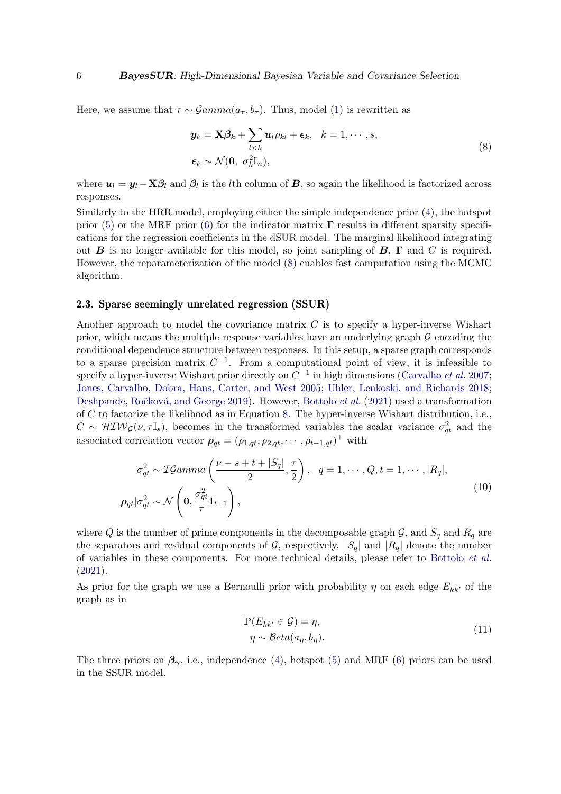Here, we assume that  $\tau \sim \mathcal{G}amma(a_{\tau}, b_{\tau})$ . Thus, model [\(1\)](#page-2-0) is rewritten as

$$
\mathbf{y}_k = \mathbf{X}\boldsymbol{\beta}_k + \sum_{l < k} \mathbf{u}_l \rho_{kl} + \boldsymbol{\epsilon}_k, \quad k = 1, \cdots, s,
$$
\n
$$
\boldsymbol{\epsilon}_k \sim \mathcal{N}(\mathbf{0}, \sigma_k^2 \mathbb{I}_n),
$$
\n(8)

where  $u_l = y_l - \mathbf{X}\beta_l$  and  $\beta_l$  is the *l*th column of  $\mathbf{B}$ , so again the likelihood is factorized across responses.

Similarly to the HRR model, employing either the simple independence prior [\(4\)](#page-3-1), the hotspot prior [\(5\)](#page-4-0) or the MRF prior [\(6\)](#page-4-1) for the indicator matrix  $\Gamma$  results in different sparsity specifications for the regression coefficients in the dSUR model. The marginal likelihood integrating out **B** is no longer available for this model, so joint sampling of **B**,  $\Gamma$  and C is required. However, the reparameterization of the model [\(8\)](#page-4-2) enables fast computation using the MCMC algorithm.

# <span id="page-5-0"></span>2.3. Sparse seemingly unrelated regression (SSUR)

Another approach to model the covariance matrix  $C$  is to specify a hyper-inverse Wishart prior, which means the multiple response variables have an underlying graph  $\mathcal G$  encoding the conditional dependence structure between responses. In this setup, a sparse graph corresponds to a sparse precision matrix  $C^{-1}$ . From a computational point of view, it is infeasible to specify a hyper-inverse Wishart prior directly on  $C^{-1}$  in high dimensions [\(Carvalho](#page-25-5) *et al.* [2007;](#page-25-5) [Jones, Carvalho, Dobra, Hans, Carter, and West 2005;](#page-26-10) [Uhler, Lenkoski, and Richards 2018;](#page-27-6) Deshpande, Ročková, and George 2019). However, [Bottolo](#page-25-7) *et al.* [\(2021\)](#page-25-7) used a transformation of  $C$  to factorize the likelihood as in Equation [8.](#page-4-2) The hyper-inverse Wishart distribution, i.e.,  $C \sim \mathcal{H} \mathcal{IW}_{\mathcal{G}}(\nu, \tau \mathbb{I}_s)$ , becomes in the transformed variables the scalar variance  $\sigma_{qt}^2$  and the associated correlation vector  $\rho_{qt} = (\rho_{1,qt}, \rho_{2,qt}, \cdots, \rho_{t-1,qt})^{\top}$  with

$$
\sigma_{qt}^2 \sim \mathcal{IGamma}\left(\frac{\nu - s + t + |S_q|}{2}, \frac{\tau}{2}\right), \quad q = 1, \cdots, Q, t = 1, \cdots, |R_q|,
$$
\n
$$
\rho_{qt} |\sigma_{qt}^2 \sim \mathcal{N}\left(\mathbf{0}, \frac{\sigma_{qt}^2}{\tau} \mathbb{I}_{t-1}\right),
$$
\n(10)

where Q is the number of prime components in the decomposable graph  $\mathcal{G}$ , and  $S_q$  and  $R_q$  are the separators and residual components of G, respectively.  $|S_q|$  and  $|R_q|$  denote the number of variables in these components. For more technical details, please refer to [Bottolo](#page-25-7) *et al.* [\(2021\)](#page-25-7).

As prior for the graph we use a Bernoulli prior with probability  $\eta$  on each edge  $E_{kk'}$  of the graph as in

$$
\mathbb{P}(E_{kk'} \in \mathcal{G}) = \eta,
$$
  
\n
$$
\eta \sim \mathcal{B}eta(a_{\eta}, b_{\eta}).
$$
\n(11)

The three priors on  $\beta_{\gamma}$ , i.e., independence [\(4\)](#page-3-1), hotspot [\(5\)](#page-4-0) and MRF [\(6\)](#page-4-1) priors can be used in the SSUR model.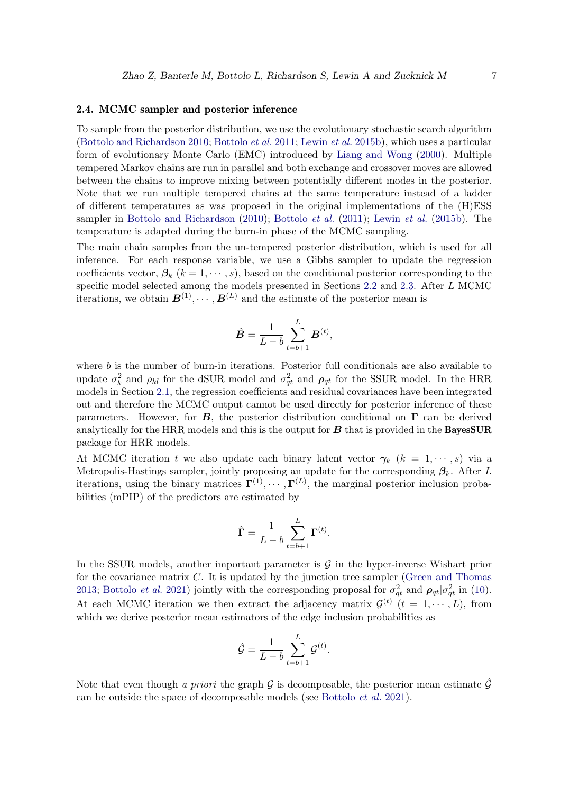### <span id="page-6-0"></span>2.4. MCMC sampler and posterior inference

To sample from the posterior distribution, we use the evolutionary stochastic search algorithm [\(Bottolo and Richardson 2010;](#page-25-4) [Bottolo](#page-25-3) *et al.* [2011;](#page-25-3) [Lewin](#page-26-4) *et al.* [2015b\)](#page-26-4), which uses a particular form of evolutionary Monte Carlo (EMC) introduced by [Liang and Wong](#page-26-11) [\(2000\)](#page-26-11). Multiple tempered Markov chains are run in parallel and both exchange and crossover moves are allowed between the chains to improve mixing between potentially different modes in the posterior. Note that we run multiple tempered chains at the same temperature instead of a ladder of different temperatures as was proposed in the original implementations of the (H)ESS sampler in [Bottolo and Richardson](#page-25-4) [\(2010\)](#page-25-4); [Bottolo](#page-25-3) *et al.* [\(2011\)](#page-25-3); [Lewin](#page-26-4) *et al.* [\(2015b\)](#page-26-4). The temperature is adapted during the burn-in phase of the MCMC sampling.

The main chain samples from the un-tempered posterior distribution, which is used for all inference. For each response variable, we use a Gibbs sampler to update the regression coefficients vector,  $\beta_k$  ( $k = 1, \dots, s$ ), based on the conditional posterior corresponding to the specific model selected among the models presented in Sections [2.2](#page-4-2) and [2.3.](#page-5-0) After L MCMC iterations, we obtain  $\mathbf{B}^{(1)}, \cdots, \mathbf{B}^{(L)}$  and the estimate of the posterior mean is

$$
\hat{B} = \frac{1}{L - b} \sum_{t=b+1}^{L} B^{(t)},
$$

where  $b$  is the number of burn-in iterations. Posterior full conditionals are also available to update  $\sigma_k^2$  and  $\rho_{kl}$  for the dSUR model and  $\sigma_{qt}^2$  and  $\rho_{qt}$  for the SSUR model. In the HRR models in Section [2.1,](#page-3-2) the regression coefficients and residual covariances have been integrated out and therefore the MCMC output cannot be used directly for posterior inference of these parameters. However, for  $B$ , the posterior distribution conditional on  $\Gamma$  can be derived analytically for the HRR models and this is the output for  $\boldsymbol{B}$  that is provided in the **BayesSUR** package for HRR models.

At MCMC iteration t we also update each binary latent vector  $\gamma_k$  ( $k = 1, \dots, s$ ) via a Metropolis-Hastings sampler, jointly proposing an update for the corresponding  $\beta_k$ . After L iterations, using the binary matrices  $\mathbf{\Gamma}^{(1)}, \cdots, \mathbf{\Gamma}^{(L)}$ , the marginal posterior inclusion probabilities (mPIP) of the predictors are estimated by

$$
\hat{\mathbf{\Gamma}} = \frac{1}{L - b} \sum_{t=b+1}^{L} \mathbf{\Gamma}^{(t)}.
$$

In the SSUR models, another important parameter is  $\mathcal G$  in the hyper-inverse Wishart prior for the covariance matrix  $C$ . It is updated by the junction tree sampler [\(Green and Thomas](#page-26-12) [2013;](#page-26-12) [Bottolo](#page-25-7) *et al.* [2021\)](#page-25-7) jointly with the corresponding proposal for  $\sigma_{qt}^2$  and  $\rho_{qt}|\sigma_{qt}^2$  in [\(10\)](#page-5-0). At each MCMC iteration we then extract the adjacency matrix  $\mathcal{G}^{(t)}$   $(t = 1, \dots, L)$ , from which we derive posterior mean estimators of the edge inclusion probabilities as

$$
\hat{\mathcal{G}} = \frac{1}{L-b} \sum_{t=b+1}^{L} \mathcal{G}^{(t)}.
$$

Note that even though *a priori* the graph  $\mathcal G$  is decomposable, the posterior mean estimate  $\hat{\mathcal G}$ can be outside the space of decomposable models (see [Bottolo](#page-25-7) *et al.* [2021\)](#page-25-7).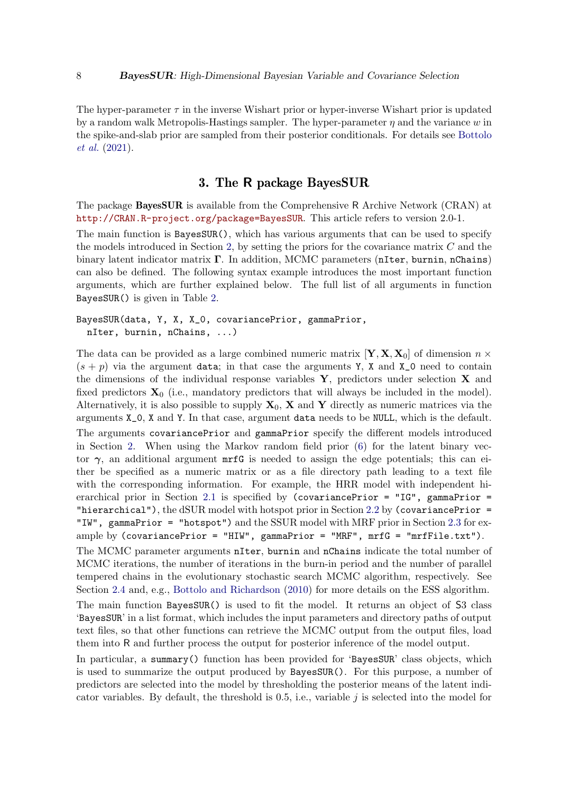The hyper-parameter  $\tau$  in the inverse Wishart prior or hyper-inverse Wishart prior is updated by a random walk Metropolis-Hastings sampler. The hyper-parameter  $\eta$  and the variance w in the spike-and-slab prior are sampled from their posterior conditionals. For details see [Bottolo](#page-25-7) *[et al.](#page-25-7)* [\(2021\)](#page-25-7).

# 3. The R package BayesSUR

The package BayesSUR is available from the Comprehensive R Archive Network (CRAN) at <http://CRAN.R-project.org/package=BayesSUR>. This article refers to version 2.0-1.

The main function is BayesSUR(), which has various arguments that can be used to specify the models introduced in Section [2,](#page-2-0) by setting the priors for the covariance matrix  $C$  and the binary latent indicator matrix  $\Gamma$ . In addition, MCMC parameters (nIter, burnin, nChains) can also be defined. The following syntax example introduces the most important function arguments, which are further explained below. The full list of all arguments in function BayesSUR() is given in Table [2.](#page-8-0)

```
BayesSUR(data, Y, X, X_0, covariancePrior, gammaPrior,
  nIter, burnin, nChains, ...)
```
The data can be provided as a large combined numeric matrix  $[\mathbf{Y}, \mathbf{X}, \mathbf{X}_0]$  of dimension  $n \times$  $(s + p)$  via the argument data; in that case the arguments Y, X and X<sub>-0</sub> need to contain the dimensions of the individual response variables  $Y$ , predictors under selection  $X$  and fixed predictors  $X_0$  (i.e., mandatory predictors that will always be included in the model). Alternatively, it is also possible to supply  $X_0$ ,  $X$  and  $Y$  directly as numeric matrices via the arguments X\_0, X and Y. In that case, argument data needs to be NULL, which is the default. The arguments covariancePrior and gammaPrior specify the different models introduced in Section [2.](#page-2-0) When using the Markov random field prior [\(6\)](#page-4-1) for the latent binary vector  $\gamma$ , an additional argument mrfG is needed to assign the edge potentials; this can either be specified as a numeric matrix or as a file directory path leading to a text file with the corresponding information. For example, the HRR model with independent hi-erarchical prior in Section [2.1](#page-3-2) is specified by (covariancePrior = "IG", gammaPrior = "hierarchical"), the dSUR model with hotspot prior in Section [2.2](#page-4-2) by (covariancePrior  $=$ "IW", gammaPrior = "hotspot") and the SSUR model with MRF prior in Section [2.3](#page-5-0) for example by  $(covariancePrior = "HIW", gammaPrior = "MRF", mrfG = "mrfFile.txt").$ The MCMC parameter arguments nIter, burnin and nChains indicate the total number of

MCMC iterations, the number of iterations in the burn-in period and the number of parallel tempered chains in the evolutionary stochastic search MCMC algorithm, respectively. See Section [2.4](#page-6-0) and, e.g., [Bottolo and Richardson](#page-25-4) [\(2010\)](#page-25-4) for more details on the ESS algorithm.

The main function BayesSUR() is used to fit the model. It returns an object of S3 class 'BayesSUR' in a list format, which includes the input parameters and directory paths of output text files, so that other functions can retrieve the MCMC output from the output files, load them into R and further process the output for posterior inference of the model output.

In particular, a summary() function has been provided for 'BayesSUR' class objects, which is used to summarize the output produced by BayesSUR(). For this purpose, a number of predictors are selected into the model by thresholding the posterior means of the latent indicator variables. By default, the threshold is  $0.5$ , i.e., variable j is selected into the model for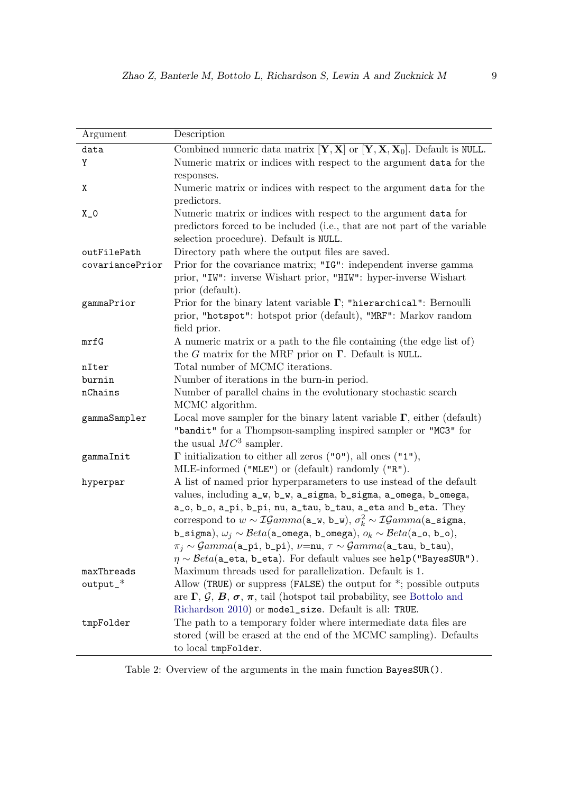| Combined numeric data matrix $[\mathbf{Y}, \mathbf{X}]$ or $[\mathbf{Y}, \mathbf{X}, \mathbf{X}_0]$ . Default is NULL.<br>data                        |
|-------------------------------------------------------------------------------------------------------------------------------------------------------|
|                                                                                                                                                       |
| Y<br>Numeric matrix or indices with respect to the argument data for the                                                                              |
| responses.                                                                                                                                            |
| Numeric matrix or indices with respect to the argument data for the<br>Χ                                                                              |
| predictors.                                                                                                                                           |
| $X_0$<br>Numeric matrix or indices with respect to the argument data for                                                                              |
| predictors forced to be included (i.e., that are not part of the variable                                                                             |
| selection procedure). Default is NULL.                                                                                                                |
| Directory path where the output files are saved.<br>outFilePath                                                                                       |
| Prior for the covariance matrix; "IG": independent inverse gamma<br>covariancePrior                                                                   |
| prior, "IW": inverse Wishart prior, "HIW": hyper-inverse Wishart                                                                                      |
| prior (default).                                                                                                                                      |
| Prior for the binary latent variable $\Gamma$ ; "hierarchical": Bernoulli<br>gammaPrior                                                               |
| prior, "hotspot": hotspot prior (default), "MRF": Markov random                                                                                       |
| field prior.                                                                                                                                          |
| A numeric matrix or a path to the file containing (the edge list of)<br>mrfG                                                                          |
| the G matrix for the MRF prior on $\Gamma$ . Default is NULL.                                                                                         |
| Total number of MCMC iterations.<br>nIter                                                                                                             |
| Number of iterations in the burn-in period.<br>burnin                                                                                                 |
| Number of parallel chains in the evolutionary stochastic search<br>nChains<br>MCMC algorithm.                                                         |
| Local move sampler for the binary latent variable $\Gamma$ , either (default)                                                                         |
| gammaSampler<br>"bandit" for a Thompson-sampling inspired sampler or "MC3" for                                                                        |
| the usual $MC^3$ sampler.                                                                                                                             |
| $\Gamma$ initialization to either all zeros ("0"), all ones ("1"),<br>gammaInit                                                                       |
| $MLE\text{-informed}$ ("MLE") or (default) randomly ("R").                                                                                            |
| A list of named prior hyperparameters to use instead of the default<br>hyperpar                                                                       |
| values, including a_w, b_w, a_sigma, b_sigma, a_omega, b_omega,                                                                                       |
| a_o, b_o, a_pi, b_pi, nu, a_tau, b_tau, a_eta and b_eta. They                                                                                         |
| correspond to $w \sim \mathcal{IG}amma(\mathbf{a}_\mathbf{-w}, \mathbf{b}_\mathbf{-w}), \sigma_k^2 \sim \mathcal{IG}amma(\mathbf{a}_\mathbf{-signa},$ |
| b_sigma), $\omega_j \sim \mathcal{B}eta$ (a_omega, b_omega), $o_k \sim \mathcal{B}eta$ (a_o, b_o),                                                    |
| $\pi_j \sim \mathcal{G}amma(\texttt{a\_pi}, \texttt{b\_pi}), \nu = \texttt{nu}, \tau \sim \mathcal{G}amma(\texttt{a\_tau}, \texttt{b\_tau}),$         |
| $\eta \sim \text{Beta}(\texttt{a\_eta}, \texttt{b\_eta})$ . For default values see help("BayesSUR").                                                  |
| Maximum threads used for parallelization. Default is 1.<br>maxThreads                                                                                 |
| output_*<br>Allow (TRUE) or suppress (FALSE) the output for $*$ ; possible outputs                                                                    |
| are $\Gamma$ , $\mathcal{G}$ , $\mathcal{B}$ , $\sigma$ , $\pi$ , tail (hotspot tail probability, see Bottolo and                                     |
| Richardson 2010) or model_size. Default is all: TRUE.                                                                                                 |
| The path to a temporary folder where intermediate data files are<br>tmpFolder                                                                         |
| stored (will be erased at the end of the MCMC sampling). Defaults                                                                                     |
| to local tmpFolder.                                                                                                                                   |

<span id="page-8-0"></span>Table 2: Overview of the arguments in the main function BayesSUR().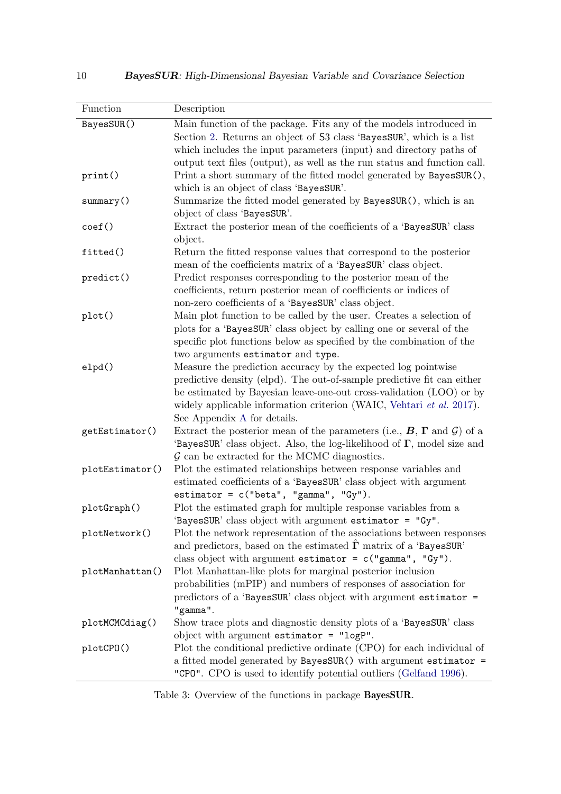| Function        | Description                                                                                                                                                                                                                                                                                                           |
|-----------------|-----------------------------------------------------------------------------------------------------------------------------------------------------------------------------------------------------------------------------------------------------------------------------------------------------------------------|
| BayesSUR()      | Main function of the package. Fits any of the models introduced in<br>Section 2. Returns an object of S3 class 'BayesSUR', which is a list<br>which includes the input parameters (input) and directory paths of<br>output text files (output), as well as the run status and function call.                          |
| print()         | Print a short summary of the fitted model generated by BayesSUR(),<br>which is an object of class 'BayesSUR'.                                                                                                                                                                                                         |
| summary()       | Summarize the fitted model generated by BayesSUR(), which is an<br>object of class 'BayesSUR'.                                                                                                                                                                                                                        |
| $\text{coef}()$ | Extract the posterior mean of the coefficients of a 'BayesSUR' class<br>object.                                                                                                                                                                                                                                       |
| fitted()        | Return the fitted response values that correspond to the posterior<br>mean of the coefficients matrix of a 'BayesSUR' class object.                                                                                                                                                                                   |
| predict()       | Predict responses corresponding to the posterior mean of the<br>coefficients, return posterior mean of coefficients or indices of<br>non-zero coefficients of a 'BayesSUR' class object.                                                                                                                              |
| plot()          | Main plot function to be called by the user. Creates a selection of<br>plots for a 'BayesSUR' class object by calling one or several of the<br>specific plot functions below as specified by the combination of the<br>two arguments estimator and type.                                                              |
| elpd()          | Measure the prediction accuracy by the expected log pointwise<br>predictive density (elpd). The out-of-sample predictive fit can either<br>be estimated by Bayesian leave-one-out cross-validation (LOO) or by<br>widely applicable information criterion (WAIC, Vehtari et al. 2017).<br>See Appendix A for details. |
| getEstimator()  | Extract the posterior mean of the parameters (i.e., $B$ , $\Gamma$ and $\mathcal{G}$ ) of a<br>'BayesSUR' class object. Also, the log-likelihood of $\Gamma$ , model size and<br>$\mathcal G$ can be extracted for the MCMC diagnostics.                                                                              |
| plotEstimator() | Plot the estimated relationships between response variables and<br>estimated coefficients of a 'BayesSUR' class object with argument<br>estimator = $c("beta", "gamma", "Gy").$                                                                                                                                       |
| plotGraph()     | Plot the estimated graph for multiple response variables from a<br>'BayesSUR' class object with argument estimator = "Gy"                                                                                                                                                                                             |
| plotNetwork()   | Plot the network representation of the associations between responses<br>and predictors, based on the estimated $\Gamma$ matrix of a 'BayesSUR'<br>class object with argument estimator = $c("gamma", "Gy").$                                                                                                         |
| plotManhattan() | Plot Manhattan-like plots for marginal posterior inclusion<br>probabilities (mPIP) and numbers of responses of association for<br>predictors of a 'BayesSUR' class object with argument estimator =<br>"gamma".                                                                                                       |
| plotMCMCdiag()  | Show trace plots and diagnostic density plots of a 'BayesSUR' class<br>object with argument estimator = $"logP"$ .                                                                                                                                                                                                    |
| plotCPO()       | Plot the conditional predictive ordinate (CPO) for each individual of<br>a fitted model generated by BayesSUR() with argument estimator =<br>"CPO". CPO is used to identify potential outliers (Gelfand 1996).                                                                                                        |

<span id="page-9-0"></span>Table 3: Overview of the functions in package BayesSUR.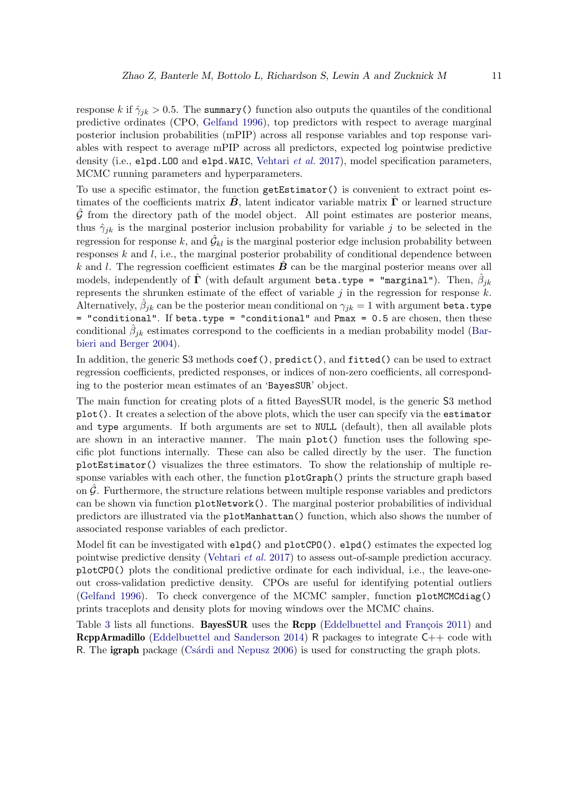response k if  $\hat{\gamma}_{ik} > 0.5$ . The summary() function also outputs the quantiles of the conditional predictive ordinates (CPO, [Gelfand 1996\)](#page-25-9), top predictors with respect to average marginal posterior inclusion probabilities (mPIP) across all response variables and top response variables with respect to average mPIP across all predictors, expected log pointwise predictive density (i.e., elpd.LOO and elpd.WAIC, [Vehtari](#page-27-7) *et al.* [2017\)](#page-27-7), model specification parameters, MCMC running parameters and hyperparameters.

To use a specific estimator, the function getEstimator() is convenient to extract point estimates of the coefficients matrix  $\vec{B}$ , latent indicator variable matrix  $\vec{\Gamma}$  or learned structure  $\hat{\mathcal{G}}$  from the directory path of the model object. All point estimates are posterior means, thus  $\hat{\gamma}_{ik}$  is the marginal posterior inclusion probability for variable j to be selected in the regression for response k, and  $\hat{G}_{kl}$  is the marginal posterior edge inclusion probability between responses  $k$  and  $l$ , i.e., the marginal posterior probability of conditional dependence between k and l. The regression coefficient estimates  $\bf{B}$  can be the marginal posterior means over all models, independently of  $\hat{\mathbf{\Gamma}}$  (with default argument beta.type = "marginal"). Then,  $\hat{\beta}_{jk}$ represents the shrunken estimate of the effect of variable  $j$  in the regression for response  $k$ . Alternatively,  $\hat{\beta}_{jk}$  can be the posterior mean conditional on  $\gamma_{jk}=1$  with argument beta.type = "conditional". If beta.type = "conditional" and Pmax = 0.5 are chosen, then these conditional  $\hat{\beta}_{jk}$  estimates correspond to the coefficients in a median probability model [\(Bar](#page-25-10)[bieri and Berger 2004\)](#page-25-10).

In addition, the generic S3 methods coef(), predict(), and fitted() can be used to extract regression coefficients, predicted responses, or indices of non-zero coefficients, all corresponding to the posterior mean estimates of an 'BayesSUR' object.

The main function for creating plots of a fitted BayesSUR model, is the generic S3 method plot(). It creates a selection of the above plots, which the user can specify via the estimator and type arguments. If both arguments are set to NULL (default), then all available plots are shown in an interactive manner. The main plot() function uses the following specific plot functions internally. These can also be called directly by the user. The function plotEstimator() visualizes the three estimators. To show the relationship of multiple response variables with each other, the function  $plotGraph()$  prints the structure graph based on  $\hat{G}$ . Furthermore, the structure relations between multiple response variables and predictors can be shown via function plotNetwork(). The marginal posterior probabilities of individual predictors are illustrated via the plotManhattan() function, which also shows the number of associated response variables of each predictor.

Model fit can be investigated with elpd() and plotCPO(). elpd() estimates the expected log pointwise predictive density [\(Vehtari](#page-27-7) *et al.* [2017\)](#page-27-7) to assess out-of-sample prediction accuracy. plotCPO() plots the conditional predictive ordinate for each individual, i.e., the leave-oneout cross-validation predictive density. CPOs are useful for identifying potential outliers [\(Gelfand 1996\)](#page-25-9). To check convergence of the MCMC sampler, function plotMCMCdiag() prints traceplots and density plots for moving windows over the MCMC chains.

Table [3](#page-9-0) lists all functions. **BayesSUR** uses the **Rcpp** (Eddelbuettel and Francois 2011) and **RcppArmadillo** [\(Eddelbuettel and Sanderson 2014\)](#page-25-12) R packages to integrate  $C++$  code with R. The **igraph** package (Csardi and Nepusz 2006) is used for constructing the graph plots.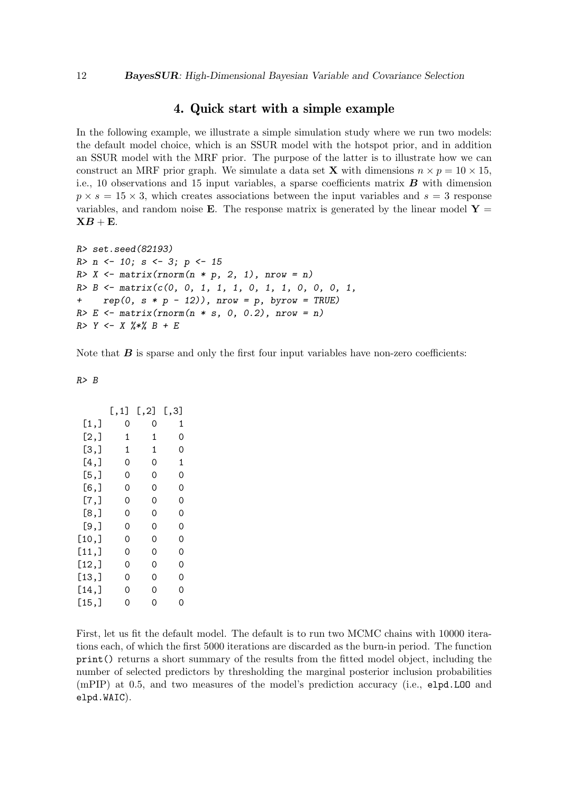# 4. Quick start with a simple example

In the following example, we illustrate a simple simulation study where we run two models: the default model choice, which is an SSUR model with the hotspot prior, and in addition an SSUR model with the MRF prior. The purpose of the latter is to illustrate how we can construct an MRF prior graph. We simulate a data set **X** with dimensions  $n \times p = 10 \times 15$ , i.e., 10 observations and 15 input variables, a sparse coefficients matrix  $\boldsymbol{B}$  with dimension  $p \times s = 15 \times 3$ , which creates associations between the input variables and  $s = 3$  response variables, and random noise **E**. The response matrix is generated by the linear model  $Y =$  $\mathbf{X}B + \mathbf{E}$ .

```
R> set.seed(82193)
R> n <- 10; s <- 3; p <- 15
R> X <- matrix(rnorm(n * p, 2, 1), nrow = n)
R> B <- matrix(c(0, 0, 1, 1, 1, 0, 1, 1, 0, 0, 0, 1,
+ rep(0, s * p - 12)), nrow = p, byrow = TRUE)
R> E <- matrix(rnorm(n * s, 0, 0.2), nrow = n)
R> Y <- X %*% B + E
```
Note that  $\bm{B}$  is sparse and only the first four input variables have non-zero coefficients:

*R> B*

|         | [ , 1] | [, 2] | [,3] |
|---------|--------|-------|------|
| [1,]    | 0      | 0     | 1    |
| [2,]    | 1      | 1     | 0    |
| [3,]    | 1      | 1     | 0    |
| $[4,$ ] | 0      | 0     | 1    |
| [5,]    | 0      | 0     | 0    |
| [6,]    | 0      | 0     | 0    |
| [7,]    | 0      | 0     | 0    |
| [8,]    | 0      | 0     | 0    |
| [9,]    | 0      | 0     | 0    |
| [10,]   | 0      | 0     | 0    |
| [11,]   | 0      | 0     | 0    |
| [12,]   | 0      | 0     | 0    |
| [13,]   | 0      | 0     | 0    |
| [14,]   | 0      | 0     | 0    |
| [15,]   | 0      | 0     | 0    |

First, let us fit the default model. The default is to run two MCMC chains with 10000 iterations each, of which the first 5000 iterations are discarded as the burn-in period. The function print() returns a short summary of the results from the fitted model object, including the number of selected predictors by thresholding the marginal posterior inclusion probabilities (mPIP) at 0.5, and two measures of the model's prediction accuracy (i.e., elpd.LOO and elpd.WAIC).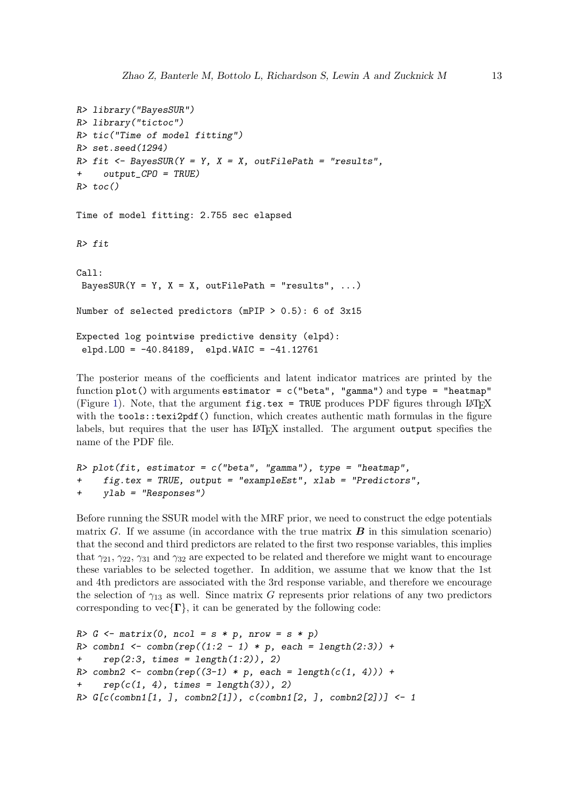```
R> library("BayesSUR")
R> library("tictoc")
R> tic("Time of model fitting")
R> set.seed(1294)
R> fit <- BayesSUR(Y = Y, X = X, outFilePath = "results",
+ output_CPO = TRUE)
R> toc()
Time of model fitting: 2.755 sec elapsed
R> fit
Call:
 BayesSUR(Y = Y, X = X, outFilePath = "results", ...)
Number of selected predictors (mPIP > 0.5): 6 of 3x15
Expected log pointwise predictive density (elpd):
 elpd.LOO = -40.84189, elpd.WAIC = -41.12761
```
The posterior means of the coefficients and latent indicator matrices are printed by the function plot() with arguments estimator =  $c("beta", "gamma")$  and type = "heatmap" (Figure [1\)](#page-13-0). Note, that the argument  $fig.$  tex = TRUE produces PDF figures through LAT<sub>E</sub>X with the tools::texi2pdf() function, which creates authentic math formulas in the figure labels, but requires that the user has LAT<sub>EX</sub> installed. The argument output specifies the name of the PDF file.

```
R> plot(fit, estimator = c("beta", "gamma"), type = "heatmap",
     + fig.tex = TRUE, output = "exampleEst", xlab = "Predictors",
+ ylab = "Responses")
```
Before running the SSUR model with the MRF prior, we need to construct the edge potentials matrix G. If we assume (in accordance with the true matrix  $\bf{B}$  in this simulation scenario) that the second and third predictors are related to the first two response variables, this implies that  $\gamma_{21}, \gamma_{22}, \gamma_{31}$  and  $\gamma_{32}$  are expected to be related and therefore we might want to encourage these variables to be selected together. In addition, we assume that we know that the 1st and 4th predictors are associated with the 3rd response variable, and therefore we encourage the selection of  $\gamma_{13}$  as well. Since matrix G represents prior relations of any two predictors corresponding to  $vec{\Gamma}$ , it can be generated by the following code:

```
R> G <- matrix(0, ncol = s * p, nrow = s * p)
R> combn1 <- combn(rep((1:2 - 1) * p, each = length(2:3)) +
+ rep(2:3, times = length(1:2)), 2)
R> combn2 <- combn(rep((3-1) * p, each = length(c(1, 4))) +
    rep(c(1, 4), times = length(3)), 2)R> G[c(combn1[1, ], combn2[1]), c(combn1[2, ], combn2[2])] <- 1
```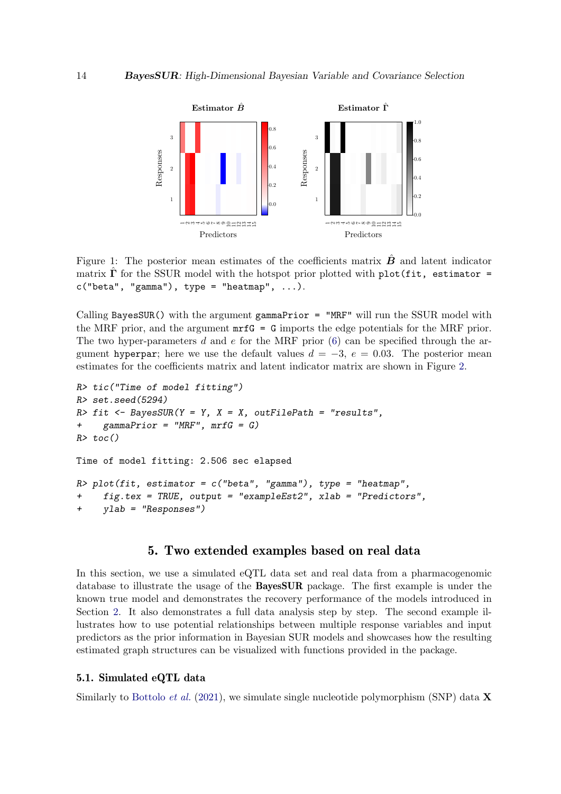

<span id="page-13-0"></span>Figure 1: The posterior mean estimates of the coefficients matrix  $\bm{B}$  and latent indicator matrix  $\hat{\Gamma}$  for the SSUR model with the hotspot prior plotted with plot(fit, estimator =  $c("beta", "gamma"), type = "heatmap", ...).$ 

Calling BayesSUR() with the argument gammaPrior  $=$  "MRF" will run the SSUR model with the MRF prior, and the argument  $m \tau G = G$  imports the edge potentials for the MRF prior. The two hyper-parameters d and e for the MRF prior  $(6)$  can be specified through the argument hyperpar; here we use the default values  $d = -3$ ,  $e = 0.03$ . The posterior mean estimates for the coefficients matrix and latent indicator matrix are shown in Figure [2.](#page-14-0)

```
R> tic("Time of model fitting")
R> set.seed(5294)
R> fit <- BayesSUR(Y = Y, X = X, outFilePath = "results",
+ gammaPrior = "MRF", mrfG = G)
R> toc()
Time of model fitting: 2.506 sec elapsed
R> plot(fit, estimator = c("beta", "gamma"), type = "heatmap",
     + fig.tex = TRUE, output = "exampleEst2", xlab = "Predictors",
+ ylab = "Responses")
```
# 5. Two extended examples based on real data

In this section, we use a simulated eQTL data set and real data from a pharmacogenomic database to illustrate the usage of the BayesSUR package. The first example is under the known true model and demonstrates the recovery performance of the models introduced in Section [2.](#page-2-0) It also demonstrates a full data analysis step by step. The second example illustrates how to use potential relationships between multiple response variables and input predictors as the prior information in Bayesian SUR models and showcases how the resulting estimated graph structures can be visualized with functions provided in the package.

### 5.1. Simulated eQTL data

Similarly to [Bottolo](#page-25-7) *et al.* [\(2021\)](#page-25-7), we simulate single nucleotide polymorphism (SNP) data **X**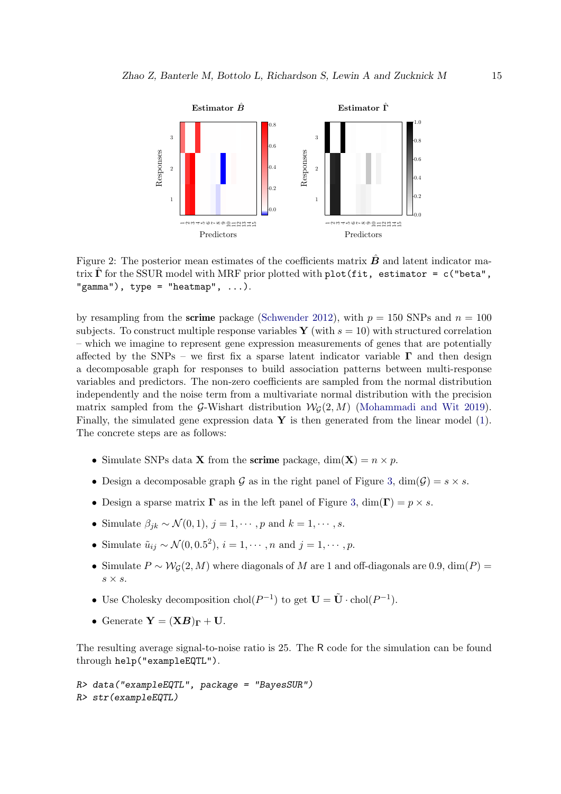

<span id="page-14-0"></span>Figure 2: The posterior mean estimates of the coefficients matrix  $\hat{B}$  and latent indicator matrix  $\hat{\Gamma}$  for the SSUR model with MRF prior plotted with plot(fit, estimator = c("beta", "gamma"),  $type = "heatmap", ...$ .

by resampling from the **scrime** package [\(Schwender 2012\)](#page-27-8), with  $p = 150$  SNPs and  $n = 100$ subjects. To construct multiple response variables Y (with  $s = 10$ ) with structured correlation – which we imagine to represent gene expression measurements of genes that are potentially affected by the SNPs – we first fix a sparse latent indicator variable  $\Gamma$  and then design a decomposable graph for responses to build association patterns between multi-response variables and predictors. The non-zero coefficients are sampled from the normal distribution independently and the noise term from a multivariate normal distribution with the precision matrix sampled from the G-Wishart distribution  $W_G(2, M)$  [\(Mohammadi and Wit 2019\)](#page-27-9). Finally, the simulated gene expression data  $\mathbf Y$  is then generated from the linear model [\(1\)](#page-2-0). The concrete steps are as follows:

- Simulate SNPs data **X** from the **scrime** package,  $dim(\mathbf{X}) = n \times p$ .
- Design a decomposable graph G as in the right panel of Figure [3,](#page-15-0)  $\dim(G) = s \times s$ .
- Design a sparse matrix  $\Gamma$  as in the left panel of Figure [3,](#page-15-0)  $\dim(\Gamma) = p \times s$ .
- Simulate  $\beta_{ik} \sim \mathcal{N}(0, 1), j = 1, \cdots, p$  and  $k = 1, \cdots, s$ .
- Simulate  $\tilde{u}_{ij} \sim \mathcal{N}(0, 0.5^2), i = 1, \cdots, n$  and  $j = 1, \cdots, p$ .
- Simulate  $P \sim \mathcal{W}_G(2,M)$  where diagonals of M are 1 and off-diagonals are 0.9, dim(P) =  $s \times s$ .
- Use Cholesky decomposition  $\text{chol}(P^{-1})$  to get  $\mathbf{U} = \tilde{\mathbf{U}} \cdot \text{chol}(P^{-1})$ .
- Generate  $\mathbf{Y} = (\mathbf{X}\mathbf{B})_{\Gamma} + \mathbf{U}$ .

The resulting average signal-to-noise ratio is 25. The R code for the simulation can be found through help("exampleEQTL").

```
R> data("exampleEQTL", package = "BayesSUR")
R> str(exampleEQTL)
```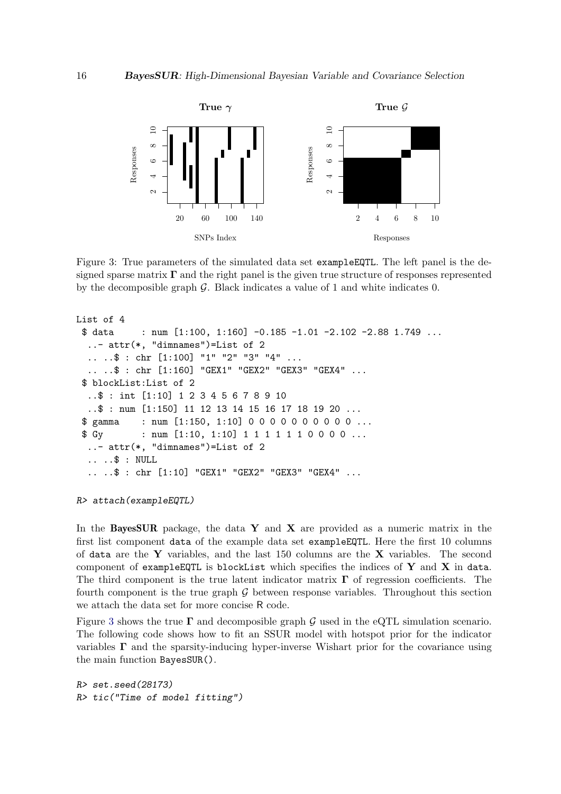

<span id="page-15-0"></span>Figure 3: True parameters of the simulated data set exampleEQTL. The left panel is the designed sparse matrix  $\Gamma$  and the right panel is the given true structure of responses represented by the decomposible graph  $\mathcal G$ . Black indicates a value of 1 and white indicates 0.

```
List of 4
 $data : num [1:100, 1:160] -0.185 -1.01 -2.102 -2.88 1.749 ...
  ..- attr(*, "dimnames")=List of 2
  .. ..$ : chr [1:100] "1" "2" "3" "4" ...
  .. ..$ : chr [1:160] "GEX1" "GEX2" "GEX3" "GEX4" ...
 $ blockList:List of 2
  ..$ : int [1:10] 1 2 3 4 5 6 7 8 9 10
  ..$ : num [1:150] 11 12 13 14 15 16 17 18 19 20 ...
 $ gamma : num [1:150, 1:10] 0 0 0 0 0 0 0 0 0 0 ...
 $ Gy : num [1:10, 1:10] 1 1 1 1 1 1 0 0 0 0 ...
  ..- attr(*, "dimnames")=List of 2
  .. ..$ : NULL
  .. ..$ : chr [1:10] "GEX1" "GEX2" "GEX3" "GEX4" ...
```
*R> attach(exampleEQTL)*

In the **BayesSUR** package, the data Y and X are provided as a numeric matrix in the first list component data of the example data set exampleEQTL. Here the first 10 columns of data are the Y variables, and the last 150 columns are the X variables. The second component of exampleEQTL is blockList which specifies the indices of  $Y$  and  $X$  in data. The third component is the true latent indicator matrix  $\Gamma$  of regression coefficients. The fourth component is the true graph  $G$  between response variables. Throughout this section we attach the data set for more concise R code.

Figure [3](#page-15-0) shows the true  $\Gamma$  and decomposible graph G used in the eQTL simulation scenario. The following code shows how to fit an SSUR model with hotspot prior for the indicator variables  $\Gamma$  and the sparsity-inducing hyper-inverse Wishart prior for the covariance using the main function BayesSUR().

```
R> set.seed(28173)
R> tic("Time of model fitting")
```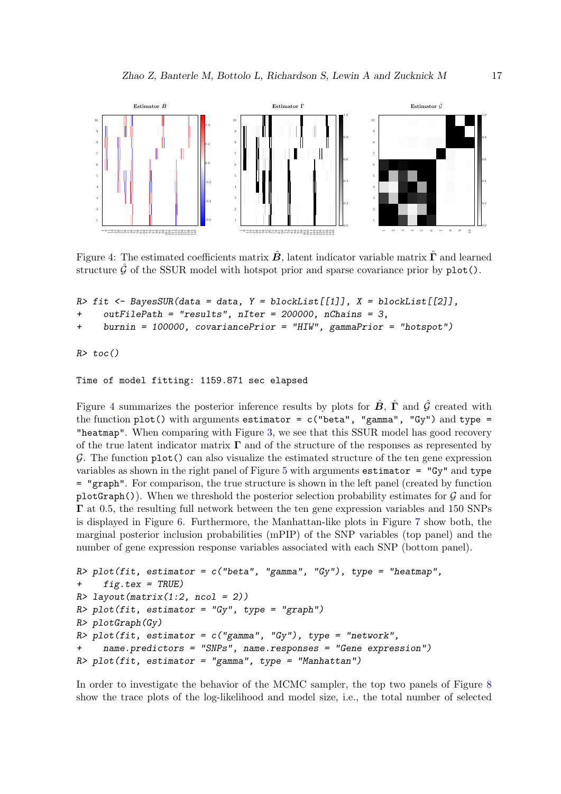

<span id="page-16-0"></span>Figure 4: The estimated coefficients matrix  $\hat{B}$ , latent indicator variable matrix  $\hat{\Gamma}$  and learned structure  $\hat{G}$  of the SSUR model with hotspot prior and sparse covariance prior by  $plot()$ .

```
R> fit <- BayesSUR(data = data, Y = blockList[[1]], X = blockList[[2]],
     + outFilePath = "results", nIter = 200000, nChains = 3,
     + burnin = 100000, covariancePrior = "HIW", gammaPrior = "hotspot")
```
*R> toc()*

Time of model fitting: 1159.871 sec elapsed

Figure [4](#page-16-0) summarizes the posterior inference results by plots for  $\hat{B}$ ,  $\hat{\Gamma}$  and  $\hat{G}$  created with the function plot() with arguments estimator =  $c("beta", "gamma", "Gy")$  and type = "heatmap". When comparing with Figure [3,](#page-15-0) we see that this SSUR model has good recovery of the true latent indicator matrix  $\Gamma$  and of the structure of the responses as represented by  $\mathcal G$ . The function  $\text{plot}()$  can also visualize the estimated structure of the ten gene expression variables as shown in the right panel of Figure [5](#page-17-0) with arguments estimator =  $"Gv"$  and type = "graph". For comparison, the true structure is shown in the left panel (created by function plotGraph()). When we threshold the posterior selection probability estimates for  $G$  and for Γ at 0.5, the resulting full network between the ten gene expression variables and 150 SNPs is displayed in Figure [6.](#page-17-1) Furthermore, the Manhattan-like plots in Figure [7](#page-18-0) show both, the marginal posterior inclusion probabilities (mPIP) of the SNP variables (top panel) and the number of gene expression response variables associated with each SNP (bottom panel).

```
R> plot(fit, estimator = c("beta", "gamma", "Gy"), type = "heatmap",
+ fig.tex = TRUE)
R> layout(matrix(1:2, ncol = 2))
R> plot(fit, estimator = "Gy", type = "graph")
R> plotGraph(Gy)
R> plot(fit, estimator = c("gamma", "Gy"), type = "network",
     + name.predictors = "SNPs", name.responses = "Gene expression")
R> plot(fit, estimator = "gamma", type = "Manhattan")
```
In order to investigate the behavior of the MCMC sampler, the top two panels of Figure [8](#page-19-0) show the trace plots of the log-likelihood and model size, i.e., the total number of selected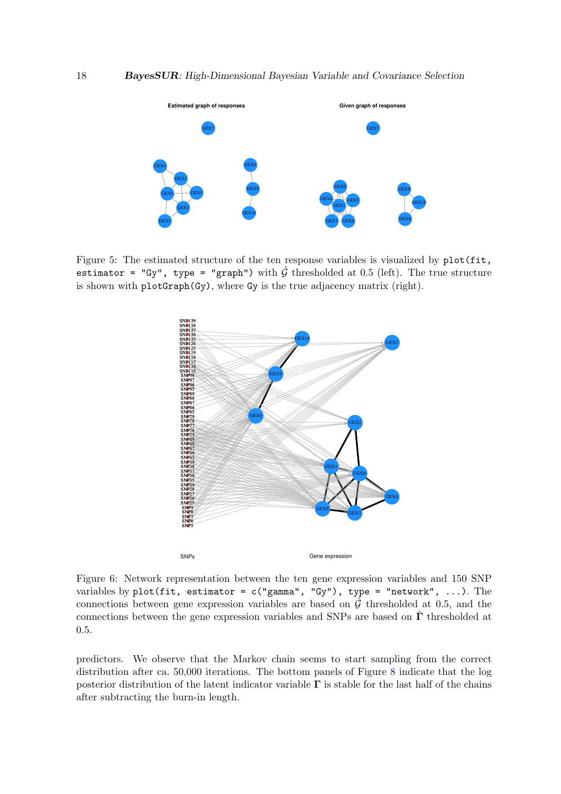

<span id="page-17-0"></span>Figure 5: The estimated structure of the ten response variables is visualized by  $plot(fit,$ estimator = "Gy", type = "graph") with  $\hat{G}$  thresholded at 0.5 (left). The true structure is shown with plotGraph(Gy), where Gy is the true adjacency matrix (right).



<span id="page-17-1"></span>Figure 6: Network representation between the ten gene expression variables and 150 SNP variables by plot(fit, estimator =  $c("gamma", "Gy")$ , type = "network", ...). The connections between gene expression variables are based on  $\hat{G}$  thresholded at 0.5, and the connections between the gene expression variables and SNPs are based on  $\hat{\Gamma}$  thresholded at 0.5.

predictors. We observe that the Markov chain seems to start sampling from the correct distribution after ca. 50,000 iterations. The bottom panels of Figure [8](#page-19-0) indicate that the log posterior distribution of the latent indicator variable  $\Gamma$  is stable for the last half of the chains after subtracting the burn-in length.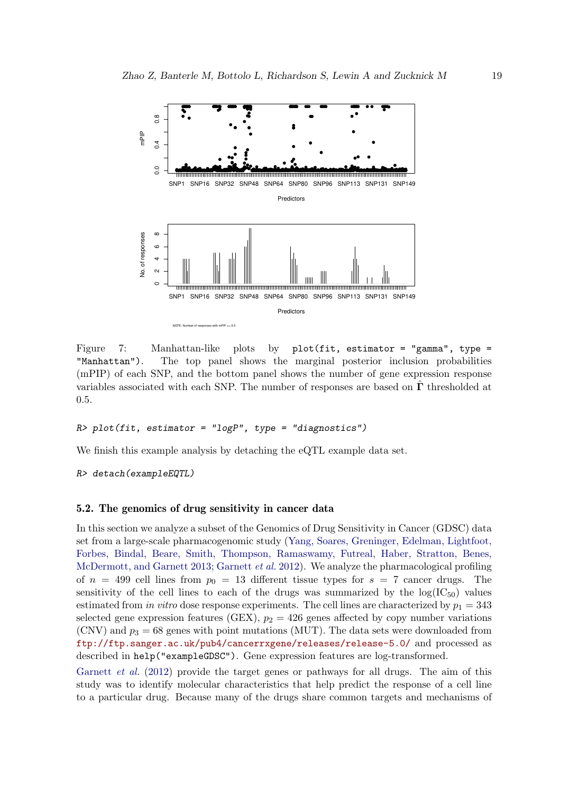

<span id="page-18-0"></span>Figure 7: Manhattan-like plots by plot(fit, estimator = "gamma", type = "Manhattan"). The top panel shows the marginal posterior inclusion probabilities (mPIP) of each SNP, and the bottom panel shows the number of gene expression response variables associated with each SNP. The number of responses are based on  $\hat{\Gamma}$  thresholded at 0.5.

### *R> plot(fit, estimator = "logP", type = "diagnostics")*

We finish this example analysis by detaching the eQTL example data set.

*R> detach(exampleEQTL)*

### 5.2. The genomics of drug sensitivity in cancer data

In this section we analyze a subset of the Genomics of Drug Sensitivity in Cancer (GDSC) data set from a large-scale pharmacogenomic study [\(Yang, Soares, Greninger, Edelman, Lightfoot,](#page-27-10) [Forbes, Bindal, Beare, Smith, Thompson, Ramaswamy, Futreal, Haber, Stratton, Benes,](#page-27-10) [McDermott, and Garnett 2013;](#page-27-10) [Garnett](#page-25-0) *et al.* [2012\)](#page-25-0). We analyze the pharmacological profiling of  $n = 499$  cell lines from  $p_0 = 13$  different tissue types for  $s = 7$  cancer drugs. The sensitivity of the cell lines to each of the drugs was summarized by the  $log(IC_{50})$  values estimated from *in vitro* dose response experiments. The cell lines are characterized by  $p_1 = 343$ selected gene expression features (GEX),  $p_2 = 426$  genes affected by copy number variations (CNV) and  $p_3 = 68$  genes with point mutations (MUT). The data sets were downloaded from <ftp://ftp.sanger.ac.uk/pub4/cancerrxgene/releases/release-5.0/> and processed as described in help("exampleGDSC"). Gene expression features are log-transformed.

[Garnett](#page-25-0) *et al.* [\(2012\)](#page-25-0) provide the target genes or pathways for all drugs. The aim of this study was to identify molecular characteristics that help predict the response of a cell line to a particular drug. Because many of the drugs share common targets and mechanisms of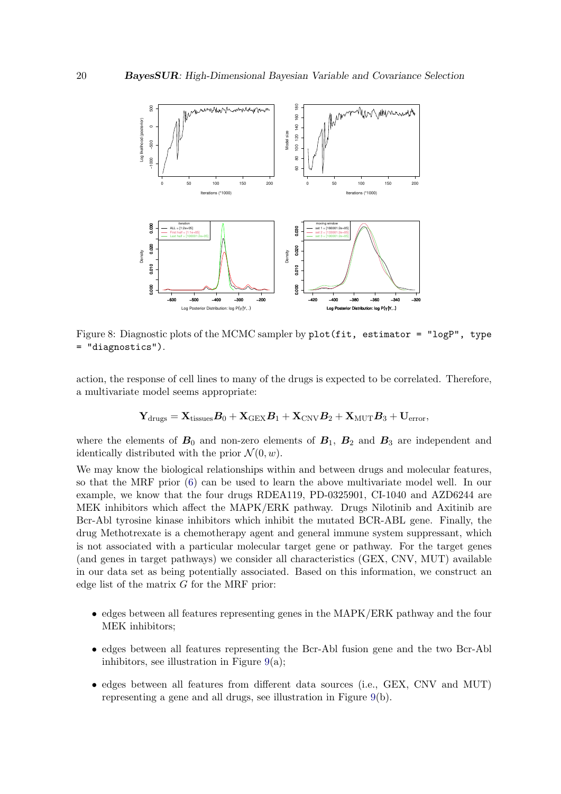

<span id="page-19-0"></span>Figure 8: Diagnostic plots of the MCMC sampler by plot(fit, estimator = "logP", type = "diagnostics").

action, the response of cell lines to many of the drugs is expected to be correlated. Therefore, a multivariate model seems appropriate:

$$
\mathbf{Y}_{\text{drugs}} = \mathbf{X}_{\text{tissues}} \boldsymbol{B}_0 + \mathbf{X}_{\text{GEX}} \boldsymbol{B}_1 + \mathbf{X}_{\text{CNV}} \boldsymbol{B}_2 + \mathbf{X}_{\text{MUT}} \boldsymbol{B}_3 + \mathbf{U}_{\text{error}},
$$

where the elements of  $B_0$  and non-zero elements of  $B_1$ ,  $B_2$  and  $B_3$  are independent and identically distributed with the prior  $\mathcal{N}(0, w)$ .

We may know the biological relationships within and between drugs and molecular features, so that the MRF prior [\(6\)](#page-4-1) can be used to learn the above multivariate model well. In our example, we know that the four drugs RDEA119, PD-0325901, CI-1040 and AZD6244 are MEK inhibitors which affect the MAPK/ERK pathway. Drugs Nilotinib and Axitinib are Bcr-Abl tyrosine kinase inhibitors which inhibit the mutated BCR-ABL gene. Finally, the drug Methotrexate is a chemotherapy agent and general immune system suppressant, which is not associated with a particular molecular target gene or pathway. For the target genes (and genes in target pathways) we consider all characteristics (GEX, CNV, MUT) available in our data set as being potentially associated. Based on this information, we construct an edge list of the matrix G for the MRF prior:

- edges between all features representing genes in the MAPK/ERK pathway and the four MEK inhibitors;
- edges between all features representing the Bcr-Abl fusion gene and the two Bcr-Abl inhibitors, see illustration in Figure  $9(a)$  $9(a)$ ;
- edges between all features from different data sources (i.e., GEX, CNV and MUT) representing a gene and all drugs, see illustration in Figure [9\(](#page-20-0)b).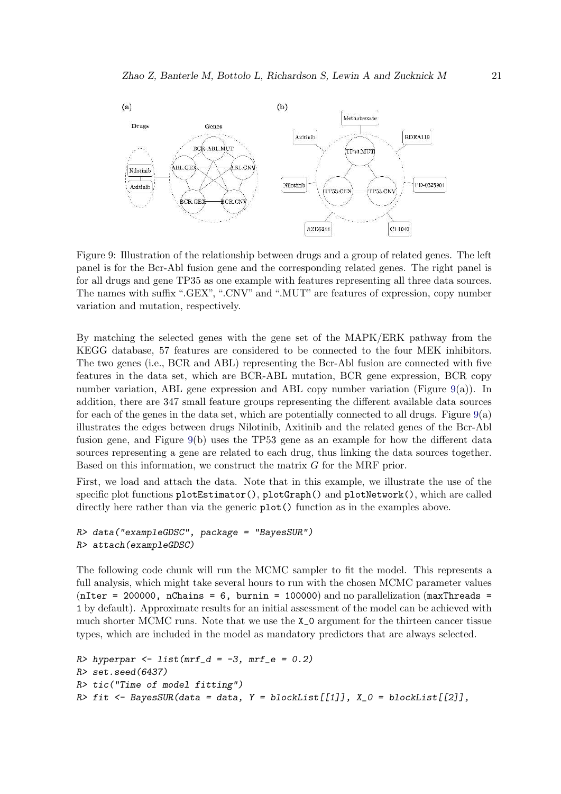

<span id="page-20-0"></span>Figure 9: Illustration of the relationship between drugs and a group of related genes. The left panel is for the Bcr-Abl fusion gene and the corresponding related genes. The right panel is for all drugs and gene TP35 as one example with features representing all three data sources. The names with suffix ".GEX", ".CNV" and ".MUT" are features of expression, copy number variation and mutation, respectively.

By matching the selected genes with the gene set of the MAPK/ERK pathway from the KEGG database, 57 features are considered to be connected to the four MEK inhibitors. The two genes (i.e., BCR and ABL) representing the Bcr-Abl fusion are connected with five features in the data set, which are BCR-ABL mutation, BCR gene expression, BCR copy number variation, ABL gene expression and ABL copy number variation (Figure [9\(](#page-20-0)a)). In addition, there are 347 small feature groups representing the different available data sources for each of the genes in the data set, which are potentially connected to all drugs. Figure  $9(a)$  $9(a)$ illustrates the edges between drugs Nilotinib, Axitinib and the related genes of the Bcr-Abl fusion gene, and Figure [9\(](#page-20-0)b) uses the TP53 gene as an example for how the different data sources representing a gene are related to each drug, thus linking the data sources together. Based on this information, we construct the matrix  $G$  for the MRF prior.

First, we load and attach the data. Note that in this example, we illustrate the use of the specific plot functions  $plotEstimator()$ ,  $plotGraph()$  and  $plotNetwork()$ , which are called directly here rather than via the generic  $plot()$  function as in the examples above.

```
R> data("exampleGDSC", package = "BayesSUR")
R> attach(exampleGDSC)
```
The following code chunk will run the MCMC sampler to fit the model. This represents a full analysis, which might take several hours to run with the chosen MCMC parameter values ( $nIter = 200000$ ,  $nChains = 6$ , burnin = 100000) and no parallelization ( $maxThreads =$ 1 by default). Approximate results for an initial assessment of the model can be achieved with much shorter MCMC runs. Note that we use the X\_0 argument for the thirteen cancer tissue types, which are included in the model as mandatory predictors that are always selected.

```
R> hyperpar <- list(mrf_d = -3, mrf_e = 0.2)
R> set.seed(6437)
R> tic("Time of model fitting")
R> fit <- BayesSUR(data = data, Y = blockList[[1]], X_0 = blockList[[2]],
```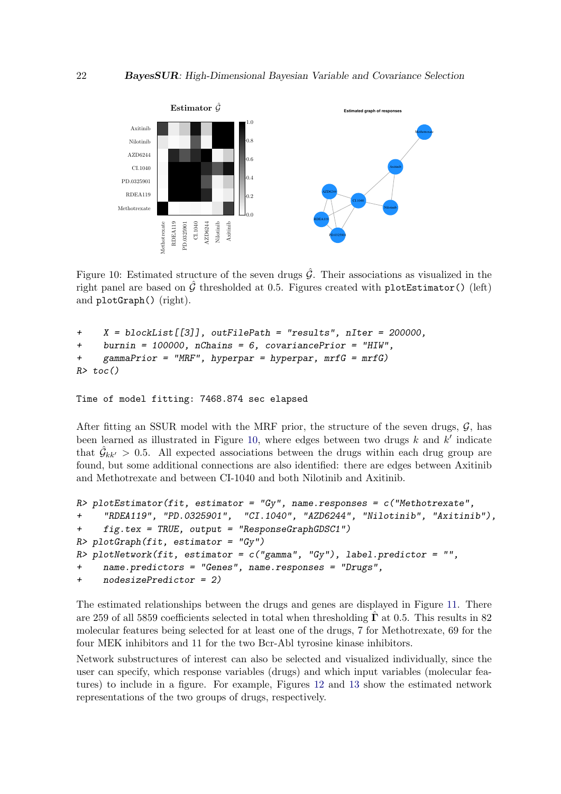

<span id="page-21-0"></span>Figure 10: Estimated structure of the seven drugs  $\hat{G}$ . Their associations as visualized in the right panel are based on  $\hat{G}$  thresholded at 0.5. Figures created with plotEstimator() (left) and plotGraph() (right).

```
+ X = blockList[[3]], outFilePath = "results", nIter = 200000,
+ burnin = 100000, nChains = 6, covariancePrior = "HIW",
+ gammaPrior = "MRF", hyperpar = hyperpar, mrfG = mrfG)
R> toc()
```

```
Time of model fitting: 7468.874 sec elapsed
```
After fitting an SSUR model with the MRF prior, the structure of the seven drugs,  $\mathcal{G}$ , has been learned as illustrated in Figure [10,](#page-21-0) where edges between two drugs  $k$  and  $k'$  indicate that  $\hat{G}_{kk'} > 0.5$ . All expected associations between the drugs within each drug group are found, but some additional connections are also identified: there are edges between Axitinib and Methotrexate and between CI-1040 and both Nilotinib and Axitinib.

```
R> plotEstimator(fit, estimator = "Gy", name.responses = c("Methotrexate",
+ "RDEA119", "PD.0325901", "CI.1040", "AZD6244", "Nilotinib", "Axitinib"),
     + fig.tex = TRUE, output = "ResponseGraphGDSC1")
R> plotGraph(fit, estimator = "Gy")
R> plotNetwork(fit, estimator = c("gamma", "Gy"), label.predictor = "",
+ name.predictors = "Genes", name.responses = "Drugs",
    + nodesizePredictor = 2)
```
The estimated relationships between the drugs and genes are displayed in Figure [11.](#page-22-0) There are 259 of all 5859 coefficients selected in total when thresholding  $\hat{\Gamma}$  at 0.5. This results in 82 molecular features being selected for at least one of the drugs, 7 for Methotrexate, 69 for the four MEK inhibitors and 11 for the two Bcr-Abl tyrosine kinase inhibitors.

Network substructures of interest can also be selected and visualized individually, since the user can specify, which response variables (drugs) and which input variables (molecular features) to include in a figure. For example, Figures [12](#page-23-0) and [13](#page-23-1) show the estimated network representations of the two groups of drugs, respectively.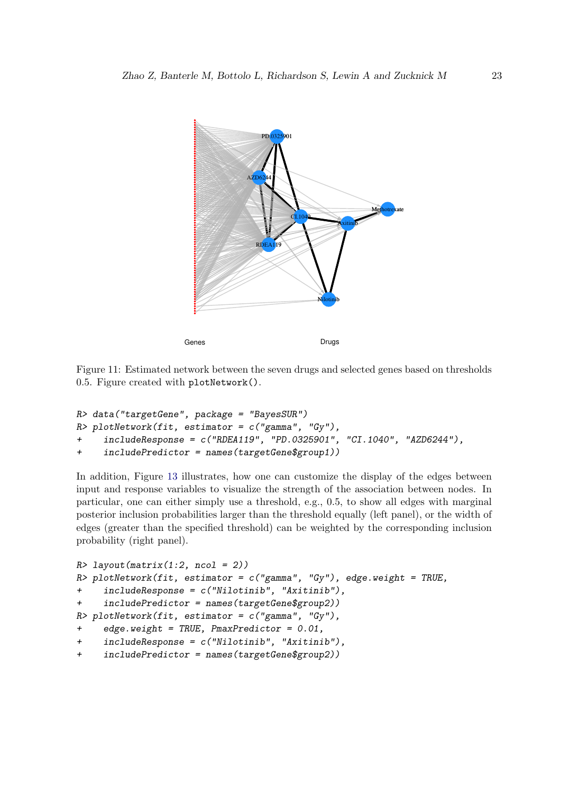

<span id="page-22-0"></span>Figure 11: Estimated network between the seven drugs and selected genes based on thresholds 0.5. Figure created with plotNetwork().

```
R> data("targetGene", package = "BayesSUR")
R> plotNetwork(fit, estimator = c("gamma", "Gy"),
+ includeResponse = c("RDEA119", "PD.0325901", "CI.1040", "AZD6244"),
+ includePredictor = names(targetGene$group1))
```
In addition, Figure [13](#page-23-1) illustrates, how one can customize the display of the edges between input and response variables to visualize the strength of the association between nodes. In particular, one can either simply use a threshold, e.g., 0.5, to show all edges with marginal posterior inclusion probabilities larger than the threshold equally (left panel), or the width of edges (greater than the specified threshold) can be weighted by the corresponding inclusion probability (right panel).

```
R> layout(matrix(1:2, ncol = 2))
R> plotNetwork(fit, estimator = c("gamma", "Gy"), edge.weight = TRUE,
+ includeResponse = c("Nilotinib", "Axitinib"),
     + includePredictor = names(targetGene$group2))
R> plotNetwork(fit, estimator = c("gamma", "Gy"),
+ edge.weight = TRUE, PmaxPredictor = 0.01,
+ includeResponse = c("Nilotinib", "Axitinib"),
+ includePredictor = names(targetGene$group2))
```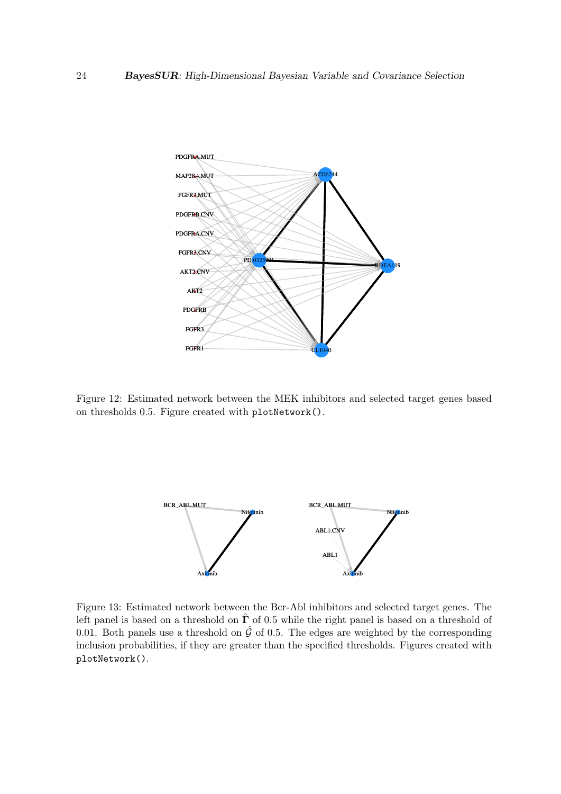

<span id="page-23-0"></span>Figure 12: Estimated network between the MEK inhibitors and selected target genes based on thresholds 0.5. Figure created with plotNetwork().



<span id="page-23-1"></span>Figure 13: Estimated network between the Bcr-Abl inhibitors and selected target genes. The left panel is based on a threshold on  $\hat{\Gamma}$  of 0.5 while the right panel is based on a threshold of 0.01. Both panels use a threshold on  $\hat{G}$  of 0.5. The edges are weighted by the corresponding inclusion probabilities, if they are greater than the specified thresholds. Figures created with plotNetwork().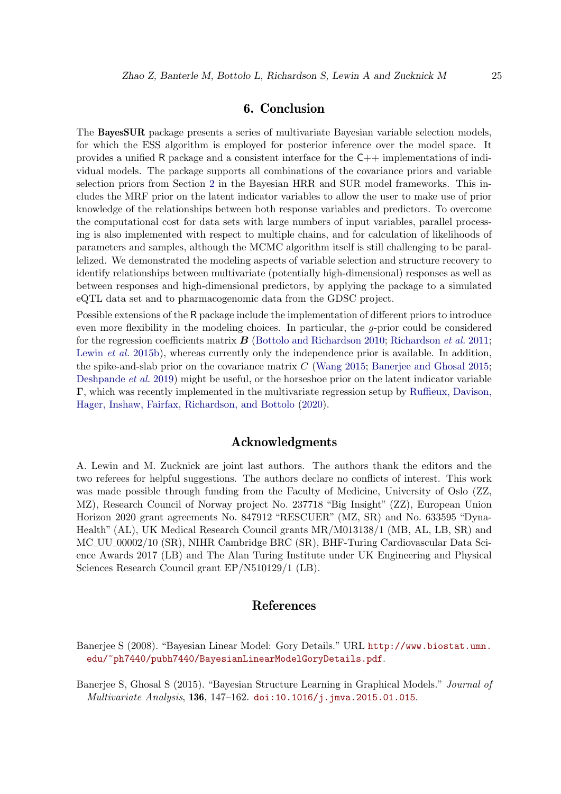# 6. Conclusion

The BayesSUR package presents a series of multivariate Bayesian variable selection models, for which the ESS algorithm is employed for posterior inference over the model space. It provides a unified R package and a consistent interface for the  $C++$  implementations of individual models. The package supports all combinations of the covariance priors and variable selection priors from Section [2](#page-2-0) in the Bayesian HRR and SUR model frameworks. This includes the MRF prior on the latent indicator variables to allow the user to make use of prior knowledge of the relationships between both response variables and predictors. To overcome the computational cost for data sets with large numbers of input variables, parallel processing is also implemented with respect to multiple chains, and for calculation of likelihoods of parameters and samples, although the MCMC algorithm itself is still challenging to be parallelized. We demonstrated the modeling aspects of variable selection and structure recovery to identify relationships between multivariate (potentially high-dimensional) responses as well as between responses and high-dimensional predictors, by applying the package to a simulated eQTL data set and to pharmacogenomic data from the GDSC project.

Possible extensions of the R package include the implementation of different priors to introduce even more flexibility in the modeling choices. In particular, the  $q$ -prior could be considered for the regression coefficients matrix B [\(Bottolo and Richardson 2010;](#page-25-4) [Richardson](#page-27-1) *et al.* [2011;](#page-27-1) [Lewin](#page-26-4) *et al.* [2015b\)](#page-26-4), whereas currently only the independence prior is available. In addition, the spike-and-slab prior on the covariance matrix C [\(Wang 2015;](#page-27-11) [Banerjee and Ghosal 2015;](#page-24-0) [Deshpande](#page-25-8) *et al.* [2019\)](#page-25-8) might be useful, or the horseshoe prior on the latent indicator variable Γ, which was recently implemented in the multivariate regression setup by [Ruffieux, Davison,](#page-27-12) [Hager, Inshaw, Fairfax, Richardson, and Bottolo](#page-27-12) [\(2020\)](#page-27-12).

# Acknowledgments

A. Lewin and M. Zucknick are joint last authors. The authors thank the editors and the two referees for helpful suggestions. The authors declare no conflicts of interest. This work was made possible through funding from the Faculty of Medicine, University of Oslo (ZZ, MZ), Research Council of Norway project No. 237718 "Big Insight" (ZZ), European Union Horizon 2020 grant agreements No. 847912 "RESCUER" (MZ, SR) and No. 633595 "Dyna-Health" (AL), UK Medical Research Council grants MR/M013138/1 (MB, AL, LB, SR) and MC UU 00002/10 (SR), NIHR Cambridge BRC (SR), BHF-Turing Cardiovascular Data Science Awards 2017 (LB) and The Alan Turing Institute under UK Engineering and Physical Sciences Research Council grant EP/N510129/1 (LB).

# References

<span id="page-24-1"></span>Banerjee S (2008). "Bayesian Linear Model: Gory Details." URL [http://www.biostat.umn.](http://www.biostat.umn.edu/~ph7440/pubh7440/BayesianLinearModelGoryDetails.pdf) [edu/~ph7440/pubh7440/BayesianLinearModelGoryDetails.pdf](http://www.biostat.umn.edu/~ph7440/pubh7440/BayesianLinearModelGoryDetails.pdf).

<span id="page-24-0"></span>Banerjee S, Ghosal S (2015). "Bayesian Structure Learning in Graphical Models." *Journal of Multivariate Analysis*, 136, 147–162. [doi:10.1016/j.jmva.2015.01.015](http://dx.doi.org/10.1016/j.jmva.2015.01.015).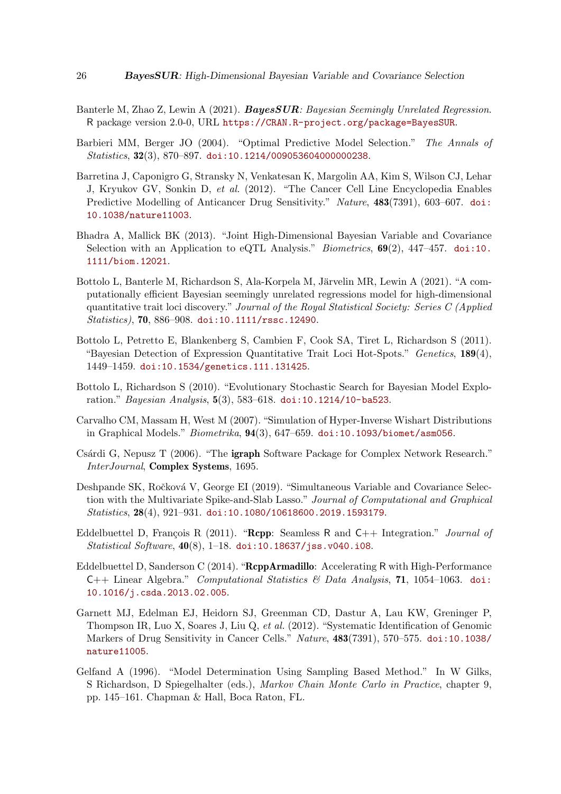- <span id="page-25-2"></span>Banterle M, Zhao Z, Lewin A (2021). BayesSUR*: Bayesian Seemingly Unrelated Regression*. R package version 2.0-0, URL <https://CRAN.R-project.org/package=BayesSUR>.
- <span id="page-25-10"></span>Barbieri MM, Berger JO (2004). "Optimal Predictive Model Selection." *The Annals of Statistics*, 32(3), 870–897. [doi:10.1214/009053604000000238](http://dx.doi.org/10.1214/009053604000000238).
- <span id="page-25-1"></span>Barretina J, Caponigro G, Stransky N, Venkatesan K, Margolin AA, Kim S, Wilson CJ, Lehar J, Kryukov GV, Sonkin D, *et al.* (2012). "The Cancer Cell Line Encyclopedia Enables Predictive Modelling of Anticancer Drug Sensitivity." *Nature*, 483(7391), 603–607. [doi:](http://dx.doi.org/10.1038/nature11003) [10.1038/nature11003](http://dx.doi.org/10.1038/nature11003).
- <span id="page-25-6"></span>Bhadra A, Mallick BK (2013). "Joint High-Dimensional Bayesian Variable and Covariance Selection with an Application to eQTL Analysis." *Biometrics*, 69(2), 447–457. [doi:10.](http://dx.doi.org/10.1111/biom.12021) [1111/biom.12021](http://dx.doi.org/10.1111/biom.12021).
- <span id="page-25-7"></span>Bottolo L, Banterle M, Richardson S, Ala-Korpela M, Järvelin MR, Lewin A (2021). "A computationally efficient Bayesian seemingly unrelated regressions model for high-dimensional quantitative trait loci discovery." *Journal of the Royal Statistical Society: Series C (Applied Statistics)*, 70, 886–908. [doi:10.1111/rssc.12490](http://dx.doi.org/10.1111/rssc.12490).
- <span id="page-25-3"></span>Bottolo L, Petretto E, Blankenberg S, Cambien F, Cook SA, Tiret L, Richardson S (2011). "Bayesian Detection of Expression Quantitative Trait Loci Hot-Spots." *Genetics*, 189(4), 1449–1459. [doi:10.1534/genetics.111.131425](http://dx.doi.org/10.1534/genetics.111.131425).
- <span id="page-25-4"></span>Bottolo L, Richardson S (2010). "Evolutionary Stochastic Search for Bayesian Model Exploration." *Bayesian Analysis*, 5(3), 583–618. [doi:10.1214/10-ba523](http://dx.doi.org/10.1214/10-ba523).
- <span id="page-25-5"></span>Carvalho CM, Massam H, West M (2007). "Simulation of Hyper-Inverse Wishart Distributions in Graphical Models." *Biometrika*, 94(3), 647–659. [doi:10.1093/biomet/asm056](http://dx.doi.org/10.1093/biomet/asm056).
- <span id="page-25-13"></span>Csárdi G, Nepusz T (2006). "The **igraph** Software Package for Complex Network Research." *InterJournal*, Complex Systems, 1695.
- <span id="page-25-8"></span>Deshpande SK, Ročková V, George EI (2019). "Simultaneous Variable and Covariance Selection with the Multivariate Spike-and-Slab Lasso." *Journal of Computational and Graphical Statistics*, 28(4), 921–931. [doi:10.1080/10618600.2019.1593179](http://dx.doi.org/10.1080/10618600.2019.1593179).
- <span id="page-25-11"></span>Eddelbuettel D, François R (2011). "Rcpp: Seamless R and C++ Integration." *Journal of Statistical Software*, 40(8), 1–18. [doi:10.18637/jss.v040.i08](http://dx.doi.org/10.18637/jss.v040.i08).
- <span id="page-25-12"></span>Eddelbuettel D, Sanderson C (2014). "RcppArmadillo: Accelerating R with High-Performance C++ Linear Algebra." *Computational Statistics & Data Analysis*, 71, 1054–1063. [doi:](http://dx.doi.org/10.1016/j.csda.2013.02.005) [10.1016/j.csda.2013.02.005](http://dx.doi.org/10.1016/j.csda.2013.02.005).
- <span id="page-25-0"></span>Garnett MJ, Edelman EJ, Heidorn SJ, Greenman CD, Dastur A, Lau KW, Greninger P, Thompson IR, Luo X, Soares J, Liu Q, *et al.* (2012). "Systematic Identification of Genomic Markers of Drug Sensitivity in Cancer Cells." *Nature*, 483(7391), 570–575. [doi:10.1038/](http://dx.doi.org/10.1038/nature11005) [nature11005](http://dx.doi.org/10.1038/nature11005).
- <span id="page-25-9"></span>Gelfand A (1996). "Model Determination Using Sampling Based Method." In W Gilks, S Richardson, D Spiegelhalter (eds.), *Markov Chain Monte Carlo in Practice*, chapter 9, pp. 145–161. Chapman & Hall, Boca Raton, FL.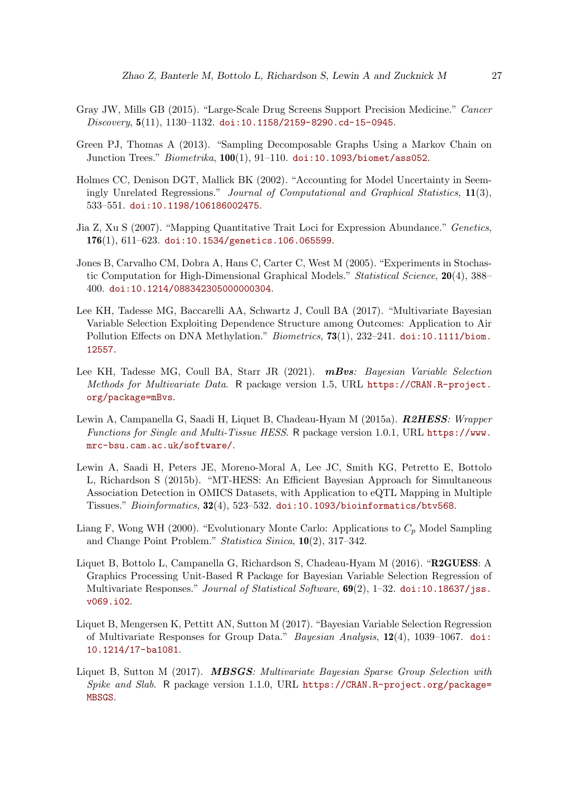- <span id="page-26-0"></span>Gray JW, Mills GB (2015). "Large-Scale Drug Screens Support Precision Medicine." *Cancer Discovery*, 5(11), 1130–1132. [doi:10.1158/2159-8290.cd-15-0945](http://dx.doi.org/10.1158/2159-8290.cd-15-0945).
- <span id="page-26-12"></span>Green PJ, Thomas A (2013). "Sampling Decomposable Graphs Using a Markov Chain on Junction Trees." *Biometrika*, 100(1), 91–110. [doi:10.1093/biomet/ass052](http://dx.doi.org/10.1093/biomet/ass052).
- <span id="page-26-9"></span>Holmes CC, Denison DGT, Mallick BK (2002). "Accounting for Model Uncertainty in Seemingly Unrelated Regressions." *Journal of Computational and Graphical Statistics*, 11(3), 533–551. [doi:10.1198/106186002475](http://dx.doi.org/10.1198/106186002475).
- <span id="page-26-1"></span>Jia Z, Xu S (2007). "Mapping Quantitative Trait Loci for Expression Abundance." *Genetics*,  $176(1), 611-623.$  [doi:10.1534/genetics.106.065599](http://dx.doi.org/10.1534/genetics.106.065599).
- <span id="page-26-10"></span>Jones B, Carvalho CM, Dobra A, Hans C, Carter C, West M (2005). "Experiments in Stochastic Computation for High-Dimensional Graphical Models." *Statistical Science*, 20(4), 388– 400. [doi:10.1214/088342305000000304](http://dx.doi.org/10.1214/088342305000000304).
- <span id="page-26-6"></span>Lee KH, Tadesse MG, Baccarelli AA, Schwartz J, Coull BA (2017). "Multivariate Bayesian Variable Selection Exploiting Dependence Structure among Outcomes: Application to Air Pollution Effects on DNA Methylation." *Biometrics*, 73(1), 232–241. [doi:10.1111/biom.](http://dx.doi.org/10.1111/biom.12557) [12557](http://dx.doi.org/10.1111/biom.12557).
- <span id="page-26-7"></span>Lee KH, Tadesse MG, Coull BA, Starr JR (2021). mBvs*: Bayesian Variable Selection Methods for Multivariate Data*. R package version 1.5, URL [https://CRAN.R-project.](https://CRAN.R-project.org/package=mBvs) [org/package=mBvs](https://CRAN.R-project.org/package=mBvs).
- <span id="page-26-5"></span>Lewin A, Campanella G, Saadi H, Liquet B, Chadeau-Hyam M (2015a). R2HESS*: Wrapper Functions for Single and Multi-Tissue HESS*. R package version 1.0.1, URL [https://www.](https://www.mrc-bsu.cam.ac.uk/software/) [mrc-bsu.cam.ac.uk/software/](https://www.mrc-bsu.cam.ac.uk/software/).
- <span id="page-26-4"></span>Lewin A, Saadi H, Peters JE, Moreno-Moral A, Lee JC, Smith KG, Petretto E, Bottolo L, Richardson S (2015b). "MT-HESS: An Efficient Bayesian Approach for Simultaneous Association Detection in OMICS Datasets, with Application to eQTL Mapping in Multiple Tissues." *Bioinformatics*, 32(4), 523–532. [doi:10.1093/bioinformatics/btv568](http://dx.doi.org/10.1093/bioinformatics/btv568).
- <span id="page-26-11"></span>Liang F, Wong WH (2000). "Evolutionary Monte Carlo: Applications to  $C_p$  Model Sampling and Change Point Problem." *Statistica Sinica*, 10(2), 317–342.
- <span id="page-26-8"></span>Liquet B, Bottolo L, Campanella G, Richardson S, Chadeau-Hyam M (2016). "R2GUESS: A Graphics Processing Unit-Based R Package for Bayesian Variable Selection Regression of Multivariate Responses." *Journal of Statistical Software*, 69(2), 1–32. [doi:10.18637/jss.](http://dx.doi.org/10.18637/jss.v069.i02) [v069.i02](http://dx.doi.org/10.18637/jss.v069.i02).
- <span id="page-26-2"></span>Liquet B, Mengersen K, Pettitt AN, Sutton M (2017). "Bayesian Variable Selection Regression of Multivariate Responses for Group Data." *Bayesian Analysis*, 12(4), 1039–1067. [doi:](http://dx.doi.org/10.1214/17-ba1081) [10.1214/17-ba1081](http://dx.doi.org/10.1214/17-ba1081).
- <span id="page-26-3"></span>Liquet B, Sutton M (2017). MBSGS*: Multivariate Bayesian Sparse Group Selection with Spike and Slab*. R package version 1.1.0, URL [https://CRAN.R-project.org/package=](https://CRAN.R-project.org/package=MBSGS) [MBSGS](https://CRAN.R-project.org/package=MBSGS).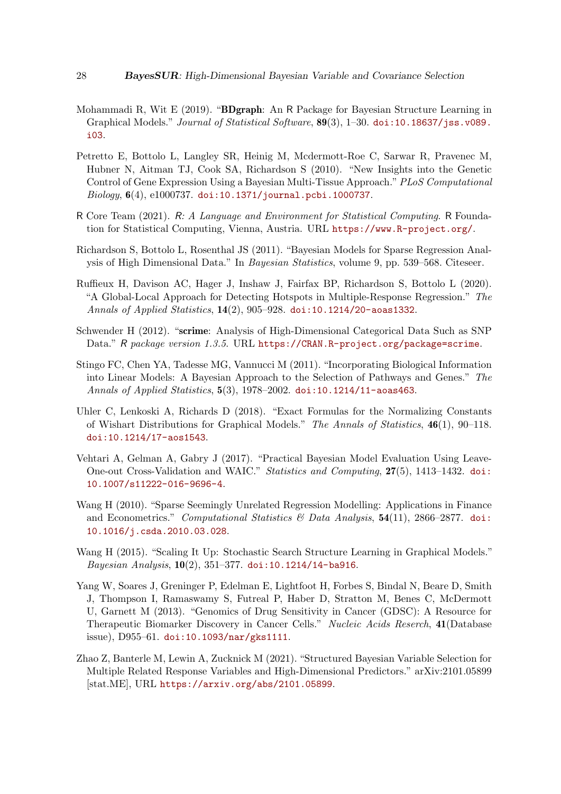- <span id="page-27-9"></span>Mohammadi R, Wit E (2019). "**BDgraph**: An R Package for Bayesian Structure Learning in Graphical Models." *Journal of Statistical Software*, 89(3), 1–30. [doi:10.18637/jss.v089.](http://dx.doi.org/10.18637/jss.v089.i03) [i03](http://dx.doi.org/10.18637/jss.v089.i03).
- <span id="page-27-2"></span>Petretto E, Bottolo L, Langley SR, Heinig M, Mcdermott-Roe C, Sarwar R, Pravenec M, Hubner N, Aitman TJ, Cook SA, Richardson S (2010). "New Insights into the Genetic Control of Gene Expression Using a Bayesian Multi-Tissue Approach."*PLoS Computational Biology*, 6(4), e1000737. [doi:10.1371/journal.pcbi.1000737](http://dx.doi.org/10.1371/journal.pcbi.1000737).
- <span id="page-27-0"></span>R Core Team (2021). R*: A Language and Environment for Statistical Computing*. R Foundation for Statistical Computing, Vienna, Austria. URL <https://www.R-project.org/>.
- <span id="page-27-1"></span>Richardson S, Bottolo L, Rosenthal JS (2011). "Bayesian Models for Sparse Regression Analysis of High Dimensional Data." In *Bayesian Statistics*, volume 9, pp. 539–568. Citeseer.
- <span id="page-27-12"></span>Ruffieux H, Davison AC, Hager J, Inshaw J, Fairfax BP, Richardson S, Bottolo L (2020). "A Global-Local Approach for Detecting Hotspots in Multiple-Response Regression." *The Annals of Applied Statistics*, 14(2), 905–928. [doi:10.1214/20-aoas1332](http://dx.doi.org/10.1214/20-aoas1332).
- <span id="page-27-8"></span>Schwender H (2012). "scrime: Analysis of High-Dimensional Categorical Data Such as SNP Data." R package version 1.3.5. URL <https://CRAN.R-project.org/package=scrime>.
- <span id="page-27-5"></span>Stingo FC, Chen YA, Tadesse MG, Vannucci M (2011). "Incorporating Biological Information into Linear Models: A Bayesian Approach to the Selection of Pathways and Genes." *The Annals of Applied Statistics*, 5(3), 1978–2002. [doi:10.1214/11-aoas463](http://dx.doi.org/10.1214/11-aoas463).
- <span id="page-27-6"></span>Uhler C, Lenkoski A, Richards D (2018). "Exact Formulas for the Normalizing Constants of Wishart Distributions for Graphical Models." *The Annals of Statistics*, 46(1), 90–118. [doi:10.1214/17-aos1543](http://dx.doi.org/10.1214/17-aos1543).
- <span id="page-27-7"></span>Vehtari A, Gelman A, Gabry J (2017). "Practical Bayesian Model Evaluation Using Leave-One-out Cross-Validation and WAIC." *Statistics and Computing*, 27(5), 1413–1432. [doi:](http://dx.doi.org/10.1007/s11222-016-9696-4) [10.1007/s11222-016-9696-4](http://dx.doi.org/10.1007/s11222-016-9696-4).
- <span id="page-27-3"></span>Wang H (2010). "Sparse Seemingly Unrelated Regression Modelling: Applications in Finance and Econometrics." *Computational Statistics & Data Analysis*, 54(11), 2866–2877. [doi:](http://dx.doi.org/10.1016/j.csda.2010.03.028) [10.1016/j.csda.2010.03.028](http://dx.doi.org/10.1016/j.csda.2010.03.028).
- <span id="page-27-11"></span>Wang H (2015). "Scaling It Up: Stochastic Search Structure Learning in Graphical Models." *Bayesian Analysis*, 10(2), 351–377. [doi:10.1214/14-ba916](http://dx.doi.org/10.1214/14-ba916).
- <span id="page-27-10"></span>Yang W, Soares J, Greninger P, Edelman E, Lightfoot H, Forbes S, Bindal N, Beare D, Smith J, Thompson I, Ramaswamy S, Futreal P, Haber D, Stratton M, Benes C, McDermott U, Garnett M (2013). "Genomics of Drug Sensitivity in Cancer (GDSC): A Resource for Therapeutic Biomarker Discovery in Cancer Cells." *Nucleic Acids Reserch*, 41(Database issue), D955–61. [doi:10.1093/nar/gks1111](http://dx.doi.org/10.1093/nar/gks1111).
- <span id="page-27-4"></span>Zhao Z, Banterle M, Lewin A, Zucknick M (2021). "Structured Bayesian Variable Selection for Multiple Related Response Variables and High-Dimensional Predictors." arXiv:2101.05899 [stat.ME], URL <https://arxiv.org/abs/2101.05899>.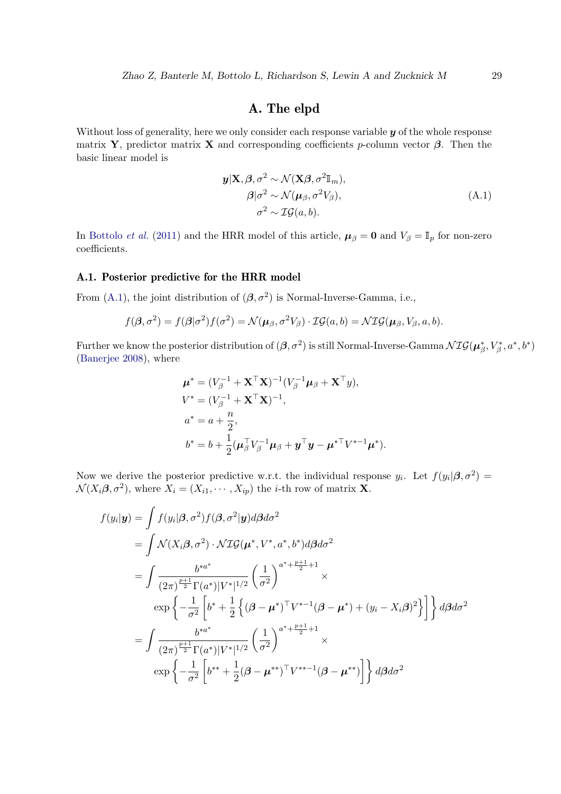# A. The elpd

<span id="page-28-0"></span>Without loss of generality, here we only consider each response variable  $y$  of the whole response matrix **Y**, predictor matrix **X** and corresponding coefficients p-column vector  $\beta$ . Then the basic linear model is

$$
\mathbf{y}|\mathbf{X}, \boldsymbol{\beta}, \sigma^2 \sim \mathcal{N}(\mathbf{X}\boldsymbol{\beta}, \sigma^2 \mathbb{I}_m),
$$
  
\n
$$
\boldsymbol{\beta}|\sigma^2 \sim \mathcal{N}(\boldsymbol{\mu}_{\beta}, \sigma^2 V_{\beta}),
$$
  
\n
$$
\sigma^2 \sim \mathcal{IG}(a, b).
$$
 (A.1)

In [Bottolo](#page-25-3) *et al.* [\(2011\)](#page-25-3) and the HRR model of this article,  $\mu_{\beta} = 0$  and  $V_{\beta} = \mathbb{I}_p$  for non-zero coefficients.

### A.1. Posterior predictive for the HRR model

From [\(A.1\)](#page-28-0), the joint distribution of  $(\beta, \sigma^2)$  is Normal-Inverse-Gamma, i.e.,

$$
f(\boldsymbol{\beta}, \sigma^2) = f(\boldsymbol{\beta}|\sigma^2)f(\sigma^2) = \mathcal{N}(\boldsymbol{\mu}_{\beta}, \sigma^2 V_{\beta}) \cdot \mathcal{IG}(a, b) = \mathcal{NIG}(\boldsymbol{\mu}_{\beta}, V_{\beta}, a, b).
$$

Further we know the posterior distribution of  $(\beta, \sigma^2)$  is still Normal-Inverse-Gamma  $\mathcal{NIG}(\mu^*_\beta, V^*_\beta, a^*, b^*)$ [\(Banerjee 2008\)](#page-24-1), where

$$
\mu^* = (V_\beta^{-1} + \mathbf{X}^\top \mathbf{X})^{-1} (V_\beta^{-1} \mu_\beta + \mathbf{X}^\top y),
$$
  
\n
$$
V^* = (V_\beta^{-1} + \mathbf{X}^\top \mathbf{X})^{-1},
$$
  
\n
$$
a^* = a + \frac{n}{2},
$$
  
\n
$$
b^* = b + \frac{1}{2} (\mu_\beta^\top V_\beta^{-1} \mu_\beta + \mathbf{y}^\top \mathbf{y} - \mu^{* \top} V^{* - 1} \mu^*).
$$

Now we derive the posterior predictive w.r.t. the individual response  $y_i$ . Let  $f(y_i|\beta, \sigma^2)$  $\mathcal{N}(X_i \beta, \sigma^2)$ , where  $X_i = (X_{i1}, \cdots, X_{ip})$  the *i*-th row of matrix **X**.

$$
f(y_i|\mathbf{y}) = \int f(y_i|\beta, \sigma^2) f(\beta, \sigma^2|\mathbf{y}) d\beta d\sigma^2
$$
  
= 
$$
\int \mathcal{N}(X_i \beta, \sigma^2) \cdot \mathcal{N} \mathcal{I} \mathcal{G}(\boldsymbol{\mu}^*, V^*, a^*, b^*) d\beta d\sigma^2
$$
  
= 
$$
\int \frac{b^{*a^*}}{(2\pi)^{\frac{p+1}{2}} \Gamma(a^*)|V^*|^{1/2}} \left(\frac{1}{\sigma^2}\right)^{a^* + \frac{p+1}{2} + 1} \times
$$
  

$$
\exp\left\{-\frac{1}{\sigma^2} \left[b^* + \frac{1}{2} \left\{(\beta - \boldsymbol{\mu}^*)^\top V^{*-1}(\beta - \boldsymbol{\mu}^*) + (y_i - X_i \beta)^2\right\}\right\} d\beta d\sigma^2
$$
  
= 
$$
\int \frac{b^{*a^*}}{(2\pi)^{\frac{p+1}{2}} \Gamma(a^*)|V^*|^{1/2}} \left(\frac{1}{\sigma^2}\right)^{a^* + \frac{p+1}{2} + 1} \times
$$
  

$$
\exp\left\{-\frac{1}{\sigma^2} \left[b^{**} + \frac{1}{2}(\beta - \boldsymbol{\mu}^{**})^\top V^{**-1}(\beta - \boldsymbol{\mu}^{**})\right]\right\} d\beta d\sigma^2
$$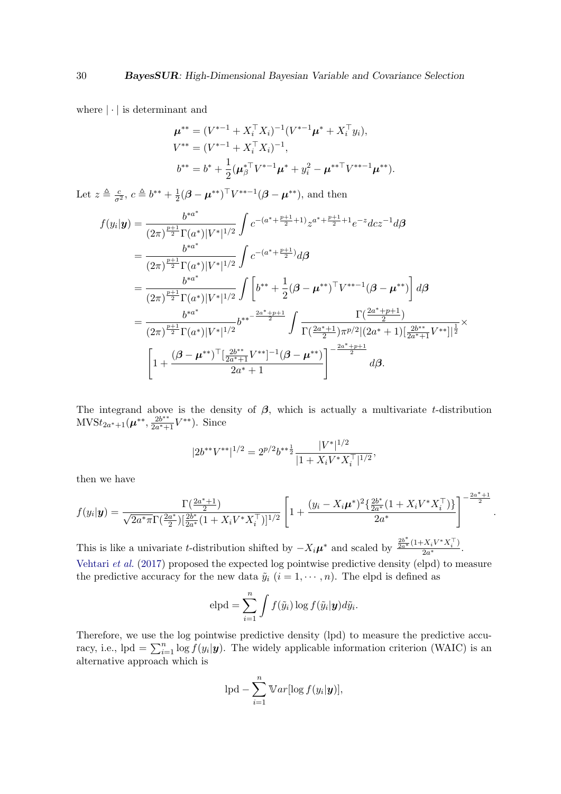where  $|\cdot|$  is determinant and

$$
\mu^{**} = (V^{*-1} + X_i^{\top} X_i)^{-1} (V^{*-1} \mu^* + X_i^{\top} y_i),
$$
  
\n
$$
V^{**} = (V^{*-1} + X_i^{\top} X_i)^{-1},
$$
  
\n
$$
b^{**} = b^* + \frac{1}{2} (\mu_{\beta}^{* \top} V^{*-1} \mu^* + y_i^2 - \mu^{** \top} V^{**-1} \mu^{**}).
$$

Let  $z \triangleq \frac{c}{\sigma^2}$ ,  $c \triangleq b^{**} + \frac{1}{2}$  $\frac{1}{2}(\boldsymbol{\beta} - \boldsymbol{\mu}^{**})^{\top}V^{**-1}(\boldsymbol{\beta} - \boldsymbol{\mu}^{**}),$  and then

$$
f(y_i|\mathbf{y}) = \frac{b^{*a^*}}{(2\pi)^{\frac{p+1}{2}}\Gamma(a^*)|V^*|^{1/2}} \int c^{-(a^*+\frac{p+1}{2}+1)} z^{a^*+\frac{p+1}{2}+1} e^{-z} dz^{-1} d\beta
$$
  
\n
$$
= \frac{b^{*a^*}}{(2\pi)^{\frac{p+1}{2}}\Gamma(a^*)|V^*|^{1/2}} \int c^{-(a^*+\frac{p+1}{2})} d\beta
$$
  
\n
$$
= \frac{b^{*a^*}}{(2\pi)^{\frac{p+1}{2}}\Gamma(a^*)|V^*|^{1/2}} \int \left[ b^{**} + \frac{1}{2} (\beta - \mu^{**})^{\top} V^{**-1} (\beta - \mu^{**}) \right] d\beta
$$
  
\n
$$
= \frac{b^{*a^*}}{(2\pi)^{\frac{p+1}{2}}\Gamma(a^*)|V^*|^{1/2}} b^{**-\frac{2a^*+p+1}{2}} \int \frac{\Gamma(\frac{2a^*+p+1}{2})}{\Gamma(\frac{2a^*+1}{2})\pi^{p/2} |(2a^*+1)|\frac{2b^{**}}{2a^*+1}V^{**}|]^{\frac{1}{2}}} \times
$$
  
\n
$$
\left[ 1 + \frac{(\beta - \mu^{**})^{\top} [\frac{2b^{**}}{2a^*+1}V^{**}]^{-1} (\beta - \mu^{**})}{2a^*+1} \right]^{-\frac{2a^*+p+1}{2}} d\beta.
$$

The integrand above is the density of  $\beta$ , which is actually a multivariate t-distribution  $\text{MVSt}_{2a^*+1}(\mu^{**}, \frac{2b^{**}}{2a^*+1})$  $\frac{2b^{**}}{2a^*+1}V^{**}$ ). Since

$$
|2b^{**}V^{**}|^{1/2} = 2^{p/2}b^{**\frac{1}{2}}\frac{|V^*|^{1/2}}{|1 + X_iV^*X_i^\top|^{1/2}},
$$

then we have

$$
f(y_i|\mathbf{y}) = \frac{\Gamma(\frac{2a^*+1}{2})}{\sqrt{2a^* \pi} \Gamma(\frac{2a^*}{2}) \left[\frac{2b^*}{2a^*} (1 + X_i V^* X_i^\top)\right]^{1/2}} \left[1 + \frac{(y_i - X_i \mu^*)^2 \left{\frac{2b^*}{2a^*} (1 + X_i V^* X_i^\top)\right\}}{2a^*}\right]^{-\frac{2a^*+1}{2}}
$$

.

This is like a univariate t-distribution shifted by  $-X_i\mu^*$  and scaled by  $\frac{\frac{2b^*}{2a^*}(1+X_iV^*X_i^{\top})}{2a^*}$  $\frac{2a^{\ast}}{2a^{\ast}}$ . [Vehtari](#page-27-7) *et al.* [\(2017\)](#page-27-7) proposed the expected log pointwise predictive density (elpd) to measure the predictive accuracy for the new data  $\tilde{y}_i$   $(i = 1, \dots, n)$ . The elpd is defined as

$$
elpd = \sum_{i=1}^{n} \int f(\tilde{y}_i) \log f(\tilde{y}_i | \mathbf{y}) d\tilde{y}_i.
$$

Therefore, we use the log pointwise predictive density (lpd) to measure the predictive accuracy, i.e., lpd =  $\sum_{i=1}^{n} \log f(y_i | \mathbf{y})$ . The widely applicable information criterion (WAIC) is an alternative approach which is

$$
lpd - \sum_{i=1}^{n} Var[log f(y_i|\mathbf{y})],
$$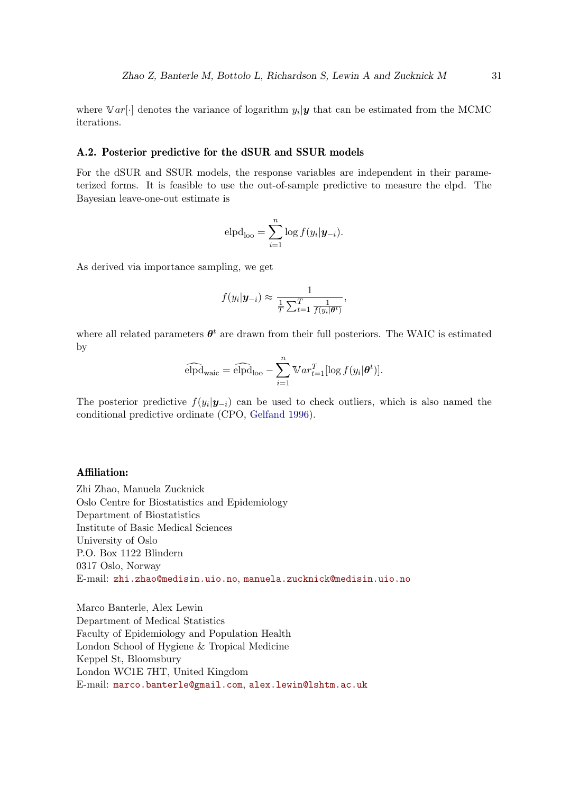where  $Var[\cdot]$  denotes the variance of logarithm  $y_i|\mathbf{y}$  that can be estimated from the MCMC iterations.

### A.2. Posterior predictive for the dSUR and SSUR models

For the dSUR and SSUR models, the response variables are independent in their parameterized forms. It is feasible to use the out-of-sample predictive to measure the elpd. The Bayesian leave-one-out estimate is

$$
\mathrm{elpd}_{\mathrm{loo}} = \sum_{i=1}^{n} \log f(y_i | \mathbf{y}_{-i}).
$$

As derived via importance sampling, we get

$$
f(y_i|\mathbf{y}_{-i}) \approx \frac{1}{\frac{1}{T}\sum_{t=1}^T \frac{1}{f(y_i|\theta^t)}},
$$

where all related parameters  $\theta^t$  are drawn from their full posteriors. The WAIC is estimated by

$$
\widehat{\mathrm{elpd}}_{\mathrm{wait}} = \widehat{\mathrm{elpd}}_{\mathrm{loo}} - \sum_{i=1}^{n} \mathbb{V}ar_{t=1}^{T}[\log f(y_i|\boldsymbol{\theta}^t)].
$$

The posterior predictive  $f(y_i|\mathbf{y}_{-i})$  can be used to check outliers, which is also named the conditional predictive ordinate (CPO, [Gelfand 1996\)](#page-25-9).

### Affiliation:

Zhi Zhao, Manuela Zucknick Oslo Centre for Biostatistics and Epidemiology Department of Biostatistics Institute of Basic Medical Sciences University of Oslo P.O. Box 1122 Blindern 0317 Oslo, Norway E-mail: [zhi.zhao@medisin.uio.no](mailto:zhi.zhao@medisin.uio.no), [manuela.zucknick@medisin.uio.no](mailto:manuela.zucknick@medisin.uio.no)

Marco Banterle, Alex Lewin Department of Medical Statistics Faculty of Epidemiology and Population Health London School of Hygiene & Tropical Medicine Keppel St, Bloomsbury London WC1E 7HT, United Kingdom E-mail: [marco.banterle@gmail.com](mailto:marco.banterle@gmail.com), [alex.lewin@lshtm.ac.uk](mailto:alex.lewin@lshtm.ac.uk)